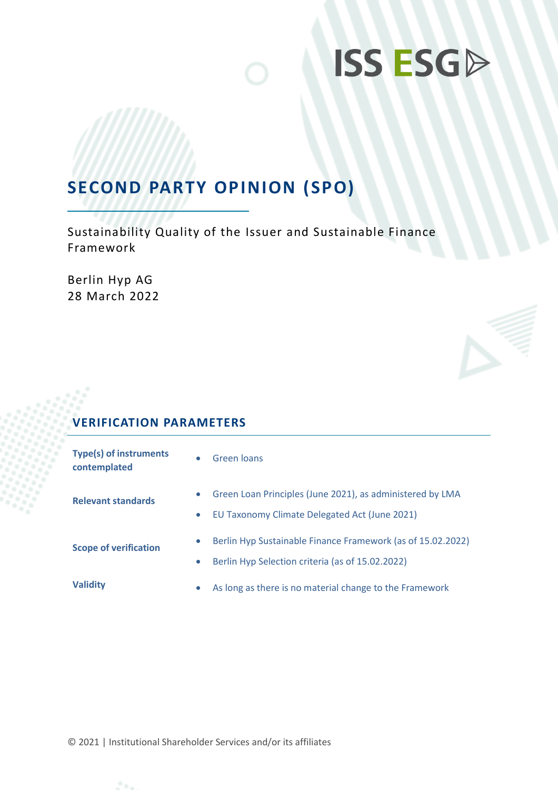# **ISS ESGD**

### **SECOND PARTY OPINION (SPO)**

Sustainability Quality of the Issuer and Sustainable Finance Framework

Berlin Hyp AG 28 March 2022

### **VERIFICATION PARAMETERS**

| <b>Type(s) of instruments</b><br>contemplated |                        | Green loans                                                                                                     |
|-----------------------------------------------|------------------------|-----------------------------------------------------------------------------------------------------------------|
| <b>Relevant standards</b>                     | $\bullet$<br>$\bullet$ | Green Loan Principles (June 2021), as administered by LMA<br>EU Taxonomy Climate Delegated Act (June 2021)      |
| <b>Scope of verification</b>                  |                        | Berlin Hyp Sustainable Finance Framework (as of 15.02.2022)<br>Berlin Hyp Selection criteria (as of 15.02.2022) |
| <b>Validity</b>                               |                        | As long as there is no material change to the Framework                                                         |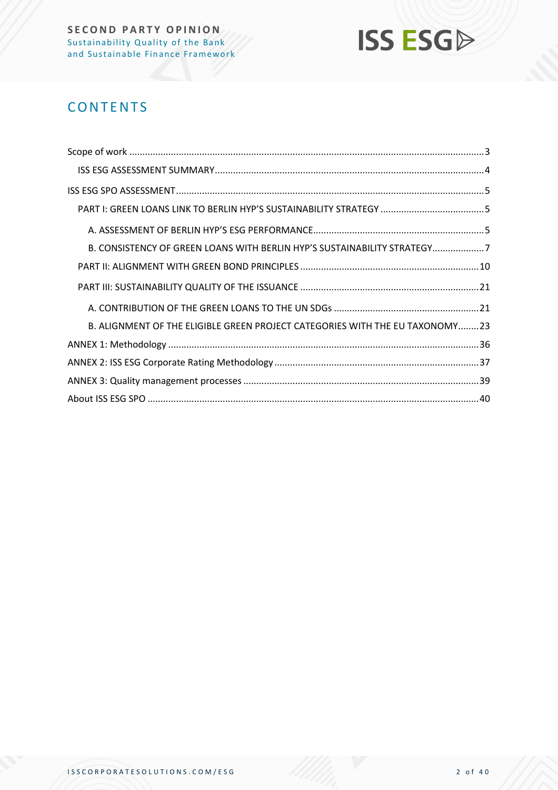

### **CONTENTS**

| B. CONSISTENCY OF GREEN LOANS WITH BERLIN HYP'S SUSTAINABILITY STRATEGY7     |  |
|------------------------------------------------------------------------------|--|
|                                                                              |  |
|                                                                              |  |
|                                                                              |  |
| B. ALIGNMENT OF THE ELIGIBLE GREEN PROJECT CATEGORIES WITH THE EU TAXONOMY23 |  |
|                                                                              |  |
|                                                                              |  |
|                                                                              |  |
|                                                                              |  |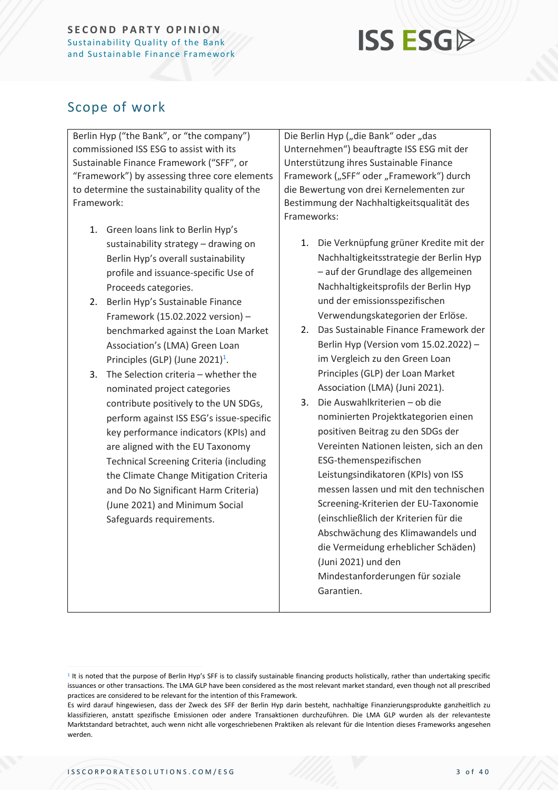# **ISS ESG**

### <span id="page-2-0"></span>Scope of work

Berlin Hyp ("the Bank", or "the company") commissioned ISS ESG to assist with its Sustainable Finance Framework ("SFF", or "Framework") by assessing three core elements to determine the sustainability quality of the Framework:

- 1. Green loans link to Berlin Hyp's sustainability strategy – drawing on Berlin Hyp's overall sustainability profile and issuance-specific Use of Proceeds categories.
- 2. Berlin Hyp's Sustainable Finance Framework (15.02.2022 version) – benchmarked against the Loan Market Association's (LMA) Green Loan Principles (GLP) (June 2021)<sup>1</sup>.
- 3. The Selection criteria whether the nominated project categories contribute positively to the UN SDGs, perform against ISS ESG's issue-specific key performance indicators (KPIs) and are aligned with the EU Taxonomy Technical Screening Criteria (including the Climate Change Mitigation Criteria and Do No Significant Harm Criteria) (June 2021) and Minimum Social Safeguards requirements.

Die Berlin Hyp ("die Bank" oder "das Unternehmen") beauftragte ISS ESG mit der Unterstützung ihres Sustainable Finance Framework ("SFF" oder "Framework") durch die Bewertung von drei Kernelementen zur Bestimmung der Nachhaltigkeitsqualität des Frameworks:

- 1. Die Verknüpfung grüner Kredite mit der Nachhaltigkeitsstrategie der Berlin Hyp – auf der Grundlage des allgemeinen Nachhaltigkeitsprofils der Berlin Hyp und der emissionsspezifischen Verwendungskategorien der Erlöse.
- 2. Das Sustainable Finance Framework der Berlin Hyp (Version vom 15.02.2022) – im Vergleich zu den Green Loan Principles (GLP) der Loan Market Association (LMA) (Juni 2021).
- 3. Die Auswahlkriterien ob die nominierten Projektkategorien einen positiven Beitrag zu den SDGs der Vereinten Nationen leisten, sich an den ESG-themenspezifischen Leistungsindikatoren (KPIs) von ISS messen lassen und mit den technischen Screening-Kriterien der EU-Taxonomie (einschließlich der Kriterien für die Abschwächung des Klimawandels und die Vermeidung erheblicher Schäden) (Juni 2021) und den Mindestanforderungen für soziale Garantien.

<sup>&</sup>lt;sup>1</sup> It is noted that the purpose of Berlin Hyp's SFF is to classify sustainable financing products holistically, rather than undertaking specific issuances or other transactions. The LMA GLP have been considered as the most relevant market standard, even though not all prescribed practices are considered to be relevant for the intention of this Framework.

Es wird darauf hingewiesen, dass der Zweck des SFF der Berlin Hyp darin besteht, nachhaltige Finanzierungsprodukte ganzheitlich zu klassifizieren, anstatt spezifische Emissionen oder andere Transaktionen durchzuführen. Die LMA GLP wurden als der relevanteste Marktstandard betrachtet, auch wenn nicht alle vorgeschriebenen Praktiken als relevant für die Intention dieses Frameworks angesehen werden.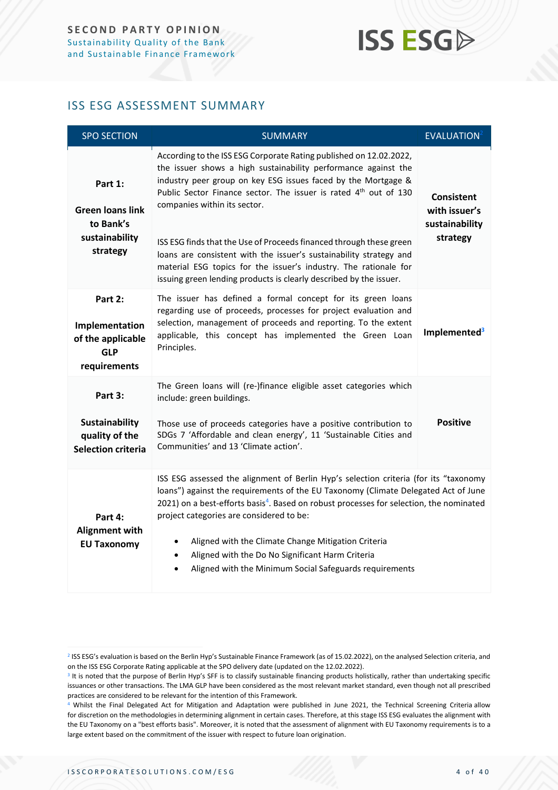# **ISS ESGA**

### <span id="page-3-0"></span>ISS ESG ASSESSMENT SUMMARY

| <b>SPO SECTION</b>                                                            | <b>SUMMARY</b>                                                                                                                                                                                                                                                                                                                                                                                                                                                                                                                                                                                               | EVALUATION <sup>2</sup>                                          |
|-------------------------------------------------------------------------------|--------------------------------------------------------------------------------------------------------------------------------------------------------------------------------------------------------------------------------------------------------------------------------------------------------------------------------------------------------------------------------------------------------------------------------------------------------------------------------------------------------------------------------------------------------------------------------------------------------------|------------------------------------------------------------------|
| Part 1:<br><b>Green loans link</b><br>to Bank's<br>sustainability<br>strategy | According to the ISS ESG Corporate Rating published on 12.02.2022,<br>the issuer shows a high sustainability performance against the<br>industry peer group on key ESG issues faced by the Mortgage &<br>Public Sector Finance sector. The issuer is rated 4 <sup>th</sup> out of 130<br>companies within its sector.<br>ISS ESG finds that the Use of Proceeds financed through these green<br>loans are consistent with the issuer's sustainability strategy and<br>material ESG topics for the issuer's industry. The rationale for<br>issuing green lending products is clearly described by the issuer. | <b>Consistent</b><br>with issuer's<br>sustainability<br>strategy |
| Part 2:<br>Implementation<br>of the applicable<br><b>GLP</b><br>requirements  | The issuer has defined a formal concept for its green loans<br>regarding use of proceeds, processes for project evaluation and<br>selection, management of proceeds and reporting. To the extent<br>applicable, this concept has implemented the Green Loan<br>Principles.                                                                                                                                                                                                                                                                                                                                   | Implemented <sup>3</sup>                                         |
| Part 3:<br>Sustainability<br>quality of the<br><b>Selection criteria</b>      | The Green loans will (re-)finance eligible asset categories which<br>include: green buildings.<br>Those use of proceeds categories have a positive contribution to<br>SDGs 7 'Affordable and clean energy', 11 'Sustainable Cities and<br>Communities' and 13 'Climate action'.                                                                                                                                                                                                                                                                                                                              | <b>Positive</b>                                                  |
| Part 4:<br><b>Alignment with</b><br><b>EU Taxonomy</b>                        | ISS ESG assessed the alignment of Berlin Hyp's selection criteria (for its "taxonomy<br>loans") against the requirements of the EU Taxonomy (Climate Delegated Act of June<br>2021) on a best-efforts basis <sup>4</sup> . Based on robust processes for selection, the nominated<br>project categories are considered to be:<br>Aligned with the Climate Change Mitigation Criteria<br>$\bullet$<br>Aligned with the Do No Significant Harm Criteria<br>$\bullet$<br>Aligned with the Minimum Social Safeguards requirements                                                                                |                                                                  |

<sup>2</sup> ISS ESG's evaluation is based on the Berlin Hyp's Sustainable Finance Framework (as of 15.02.2022), on the analysed Selection criteria, and on the ISS ESG Corporate Rating applicable at the SPO delivery date (updated on the 12.02.2022).

<sup>&</sup>lt;sup>3</sup> It is noted that the purpose of Berlin Hyp's SFF is to classify sustainable financing products holistically, rather than undertaking specific issuances or other transactions. The LMA GLP have been considered as the most relevant market standard, even though not all prescribed practices are considered to be relevant for the intention of this Framework.

<sup>&</sup>lt;sup>4</sup> Whilst the Final Delegated Act for Mitigation and Adaptation were published in June 2021, the Technical Screening Criteria allow for discretion on the methodologies in determining alignment in certain cases. Therefore, at this stage ISS ESG evaluates the alignment with the EU Taxonomy on a "best efforts basis". Moreover, it is noted that the assessment of alignment with EU Taxonomy requirements is to a large extent based on the commitment of the issuer with respect to future loan origination.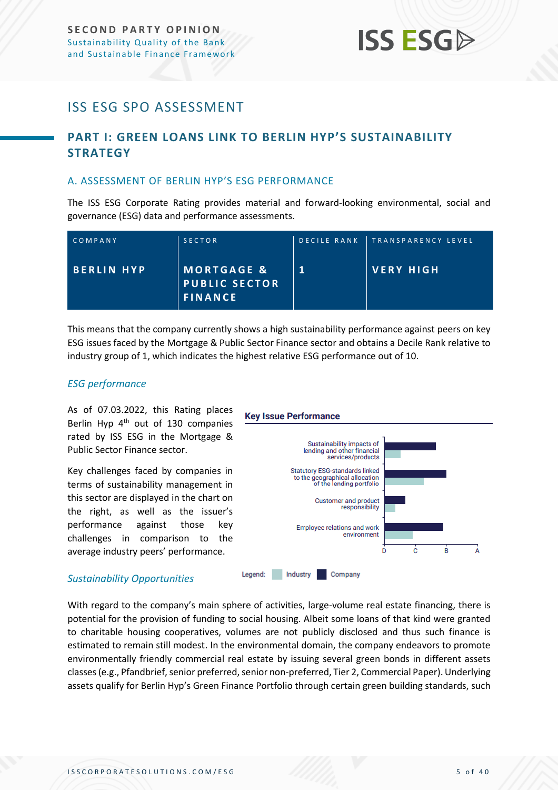# **ISS ESG**

### <span id="page-4-0"></span>ISS ESG SPO ASSESSMENT

### <span id="page-4-1"></span>**PART I: GREEN LOANS LINK TO BERLIN HYP'S SUSTAINABILITY STRATEGY**

#### <span id="page-4-2"></span>A. ASSESSMENT OF BERLIN HYP'S ESG PERFORMANCE

The ISS ESG Corporate Rating provides material and forward-looking environmental, social and governance (ESG) data and performance assessments.

| COMPANY    | <b>SECTOR</b>                                                   | DECILE RANK   TRANSPARENCY LEVEL |
|------------|-----------------------------------------------------------------|----------------------------------|
| BERLIN HYP | <b>MORTGAGE &amp;</b><br><b>PUBLIC SECTOR</b><br><b>FINANCE</b> | VERY HIGH                        |

This means that the company currently shows a high sustainability performance against peers on key ESG issues faced by the Mortgage & Public Sector Finance sector and obtains a Decile Rank relative to industry group of 1, which indicates the highest relative ESG performance out of 10.

#### *ESG performance*

As of 07.03.2022, this Rating places Berlin Hyp 4<sup>th</sup> out of 130 companies rated by ISS ESG in the Mortgage & Public Sector Finance sector.

Key challenges faced by companies in terms of sustainability management in this sector are displayed in the chart on the right, as well as the issuer's performance against those key challenges in comparison to the average industry peers' performance.

**Key Issue Performance** 



#### *Sustainability Opportunities*

With regard to the company's main sphere of activities, large-volume real estate financing, there is potential for the provision of funding to social housing. Albeit some loans of that kind were granted to charitable housing cooperatives, volumes are not publicly disclosed and thus such finance is estimated to remain still modest. In the environmental domain, the company endeavors to promote environmentally friendly commercial real estate by issuing several green bonds in different assets classes (e.g., Pfandbrief, senior preferred, senior non-preferred, Tier 2, Commercial Paper). Underlying assets qualify for Berlin Hyp's Green Finance Portfolio through certain green building standards, such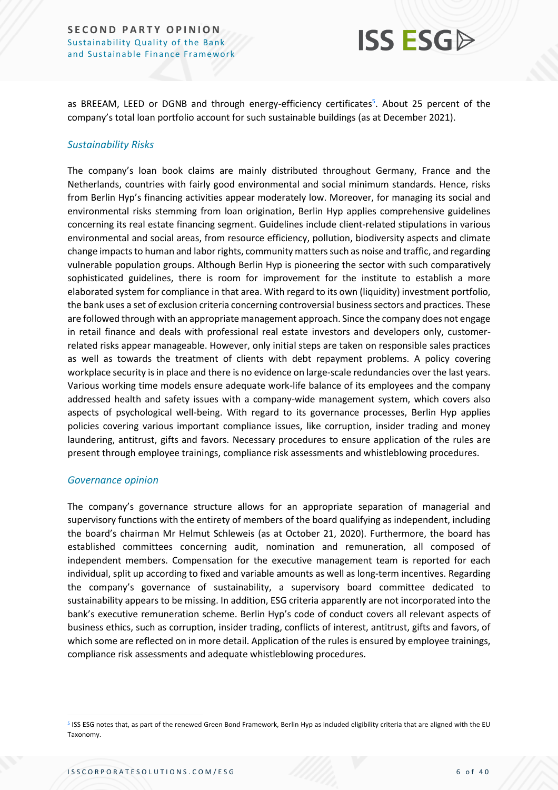

as BREEAM, LEED or DGNB and through energy-efficiency certificates<sup>5</sup>. About 25 percent of the company's total loan portfolio account for such sustainable buildings (as at December 2021).

#### *Sustainability Risks*

The company's loan book claims are mainly distributed throughout Germany, France and the Netherlands, countries with fairly good environmental and social minimum standards. Hence, risks from Berlin Hyp's financing activities appear moderately low. Moreover, for managing its social and environmental risks stemming from loan origination, Berlin Hyp applies comprehensive guidelines concerning its real estate financing segment. Guidelines include client-related stipulations in various environmental and social areas, from resource efficiency, pollution, biodiversity aspects and climate change impacts to human and labor rights, community matters such as noise and traffic, and regarding vulnerable population groups. Although Berlin Hyp is pioneering the sector with such comparatively sophisticated guidelines, there is room for improvement for the institute to establish a more elaborated system for compliance in that area. With regard to its own (liquidity) investment portfolio, the bank uses a set of exclusion criteria concerning controversial business sectors and practices. These are followed through with an appropriate management approach. Since the company does not engage in retail finance and deals with professional real estate investors and developers only, customerrelated risks appear manageable. However, only initial steps are taken on responsible sales practices as well as towards the treatment of clients with debt repayment problems. A policy covering workplace security is in place and there is no evidence on large-scale redundancies over the last years. Various working time models ensure adequate work-life balance of its employees and the company addressed health and safety issues with a company-wide management system, which covers also aspects of psychological well-being. With regard to its governance processes, Berlin Hyp applies policies covering various important compliance issues, like corruption, insider trading and money laundering, antitrust, gifts and favors. Necessary procedures to ensure application of the rules are present through employee trainings, compliance risk assessments and whistleblowing procedures.

#### *Governance opinion*

The company's governance structure allows for an appropriate separation of managerial and supervisory functions with the entirety of members of the board qualifying as independent, including the board's chairman Mr Helmut Schleweis (as at October 21, 2020). Furthermore, the board has established committees concerning audit, nomination and remuneration, all composed of independent members. Compensation for the executive management team is reported for each individual, split up according to fixed and variable amounts as well as long-term incentives. Regarding the company's governance of sustainability, a supervisory board committee dedicated to sustainability appears to be missing. In addition, ESG criteria apparently are not incorporated into the bank's executive remuneration scheme. Berlin Hyp's code of conduct covers all relevant aspects of business ethics, such as corruption, insider trading, conflicts of interest, antitrust, gifts and favors, of which some are reflected on in more detail. Application of the rules is ensured by employee trainings, compliance risk assessments and adequate whistleblowing procedures.

<sup>5</sup> ISS ESG notes that, as part of the renewed Green Bond Framework, Berlin Hyp as included eligibility criteria that are aligned with the EU Taxonomy.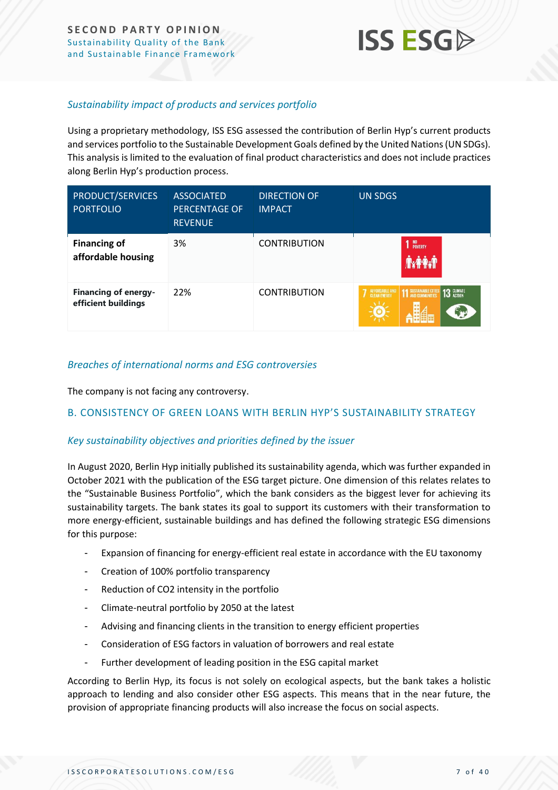

#### *Sustainability impact of products and services portfolio*

Using a proprietary methodology, ISS ESG assessed the contribution of Berlin Hyp's current products and services portfolio to the Sustainable Development Goals defined by the United Nations (UN SDGs). This analysis is limited to the evaluation of final product characteristics and does not include practices along Berlin Hyp's production process.

| PRODUCT/SERVICES<br><b>PORTFOLIO</b>               | <b>ASSOCIATED</b><br><b>PERCENTAGE OF</b><br><b>REVENUE</b> | <b>DIRECTION OF</b><br><b>IMPACT</b> | <b>UN SDGS</b>                                                                             |
|----------------------------------------------------|-------------------------------------------------------------|--------------------------------------|--------------------------------------------------------------------------------------------|
| <b>Financing of</b><br>affordable housing          | 3%                                                          | <b>CONTRIBUTION</b>                  | NO<br>POVERTY                                                                              |
| <b>Financing of energy-</b><br>efficient buildings | 22%                                                         | <b>CONTRIBUTION</b>                  | 13 GLIMATE<br><b>AFFORDABLE AND</b><br><b>11 SUSTAINABLE CITIES</b><br><b>CLEAN ENERGY</b> |

#### *Breaches of international norms and ESG controversies*

The company is not facing any controversy.

#### <span id="page-6-0"></span>B. CONSISTENCY OF GREEN LOANS WITH BERLIN HYP'S SUSTAINABILITY STRATEGY

#### *Key sustainability objectives and priorities defined by the issuer*

In August 2020, Berlin Hyp initially published its sustainability agenda, which was further expanded in October 2021 with the publication of the ESG target picture. One dimension of this relates relates to the "Sustainable Business Portfolio", which the bank considers as the biggest lever for achieving its sustainability targets. The bank states its goal to support its customers with their transformation to more energy-efficient, sustainable buildings and has defined the following strategic ESG dimensions for this purpose:

- Expansion of financing for energy-efficient real estate in accordance with the EU taxonomy
- Creation of 100% portfolio transparency
- Reduction of CO2 intensity in the portfolio
- Climate-neutral portfolio by 2050 at the latest
- Advising and financing clients in the transition to energy efficient properties
- Consideration of ESG factors in valuation of borrowers and real estate
- Further development of leading position in the ESG capital market

According to Berlin Hyp, its focus is not solely on ecological aspects, but the bank takes a holistic approach to lending and also consider other ESG aspects. This means that in the near future, the provision of appropriate financing products will also increase the focus on social aspects.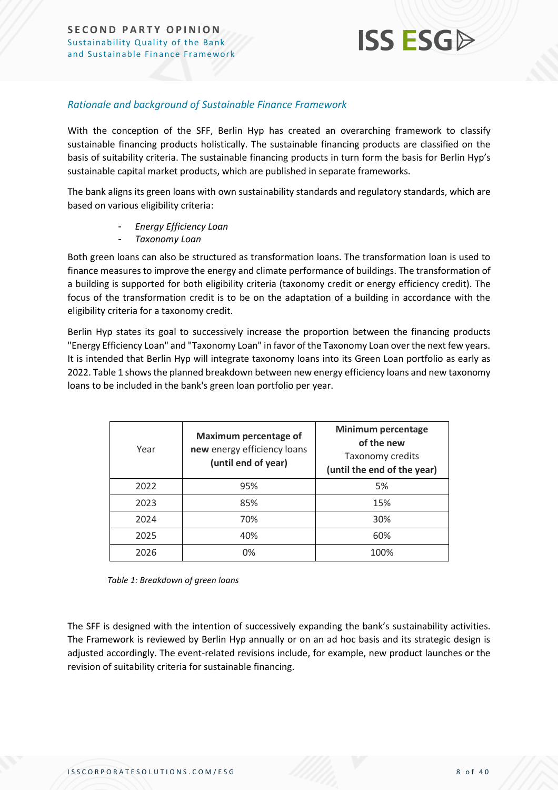

#### *Rationale and background of Sustainable Finance Framework*

With the conception of the SFF, Berlin Hyp has created an overarching framework to classify sustainable financing products holistically. The sustainable financing products are classified on the basis of suitability criteria. The sustainable financing products in turn form the basis for Berlin Hyp's sustainable capital market products, which are published in separate frameworks.

The bank aligns its green loans with own sustainability standards and regulatory standards, which are based on various eligibility criteria:

- *Energy Efficiency Loan*
- *Taxonomy Loan*

Both green loans can also be structured as transformation loans. The transformation loan is used to finance measures to improve the energy and climate performance of buildings. The transformation of a building is supported for both eligibility criteria (taxonomy credit or energy efficiency credit). The focus of the transformation credit is to be on the adaptation of a building in accordance with the eligibility criteria for a taxonomy credit.

Berlin Hyp states its goal to successively increase the proportion between the financing products "Energy Efficiency Loan" and "Taxonomy Loan" in favor of the Taxonomy Loan over the next few years. It is intended that Berlin Hyp will integrate taxonomy loans into its Green Loan portfolio as early as 2022[. Table 1](#page-7-0) shows the planned breakdown between new energy efficiency loans and new taxonomy loans to be included in the bank's green loan portfolio per year.

| Year | <b>Maximum percentage of</b><br>new energy efficiency loans<br>(until end of year) | Minimum percentage<br>of the new<br>Taxonomy credits<br>(until the end of the year) |
|------|------------------------------------------------------------------------------------|-------------------------------------------------------------------------------------|
| 2022 | 95%                                                                                | 5%                                                                                  |
| 2023 | 85%                                                                                | 15%                                                                                 |
| 2024 | 70%                                                                                | 30%                                                                                 |
| 2025 | 40%                                                                                | 60%                                                                                 |
| 2026 | 0%                                                                                 | 100%                                                                                |

<span id="page-7-0"></span>*Table 1: Breakdown of green loans*

The SFF is designed with the intention of successively expanding the bank's sustainability activities. The Framework is reviewed by Berlin Hyp annually or on an ad hoc basis and its strategic design is adjusted accordingly. The event-related revisions include, for example, new product launches or the revision of suitability criteria for sustainable financing.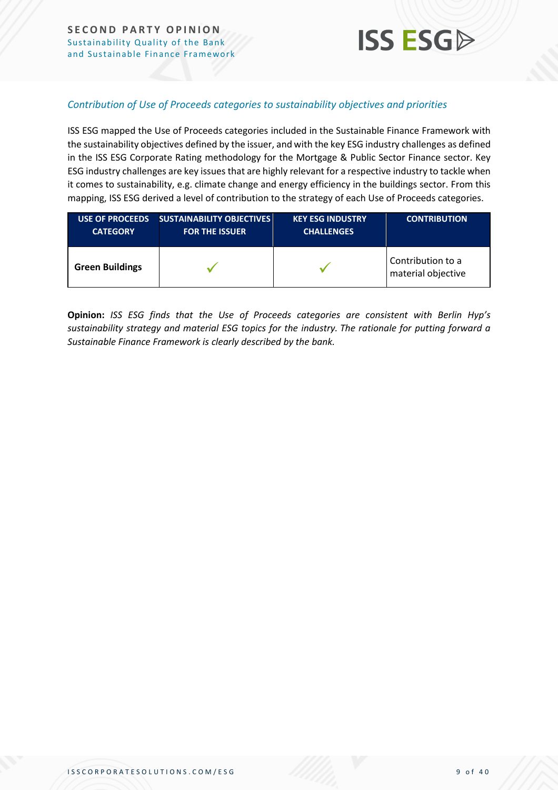

#### *Contribution of Use of Proceeds categories to sustainability objectives and priorities*

ISS ESG mapped the Use of Proceeds categories included in the Sustainable Finance Framework with the sustainability objectives defined by the issuer, and with the key ESG industry challenges as defined in the ISS ESG Corporate Rating methodology for the Mortgage & Public Sector Finance sector. Key ESG industry challenges are key issues that are highly relevant for a respective industry to tackle when it comes to sustainability, e.g. climate change and energy efficiency in the buildings sector. From this mapping, ISS ESG derived a level of contribution to the strategy of each Use of Proceeds categories.

| <b>USE OF PROCEEDS</b> | <b>SUSTAINABILITY OBJECTIVES</b> | <b>KEY ESG INDUSTRY'</b> | <b>CONTRIBUTION</b>                     |
|------------------------|----------------------------------|--------------------------|-----------------------------------------|
| <b>CATEGORY</b>        | <b>FOR THE ISSUER</b>            | <b>CHALLENGES</b>        |                                         |
| <b>Green Buildings</b> |                                  |                          | Contribution to a<br>material objective |

**Opinion:** *ISS ESG finds that the Use of Proceeds categories are consistent with Berlin Hyp's sustainability strategy and material ESG topics for the industry. The rationale for putting forward a Sustainable Finance Framework is clearly described by the bank.*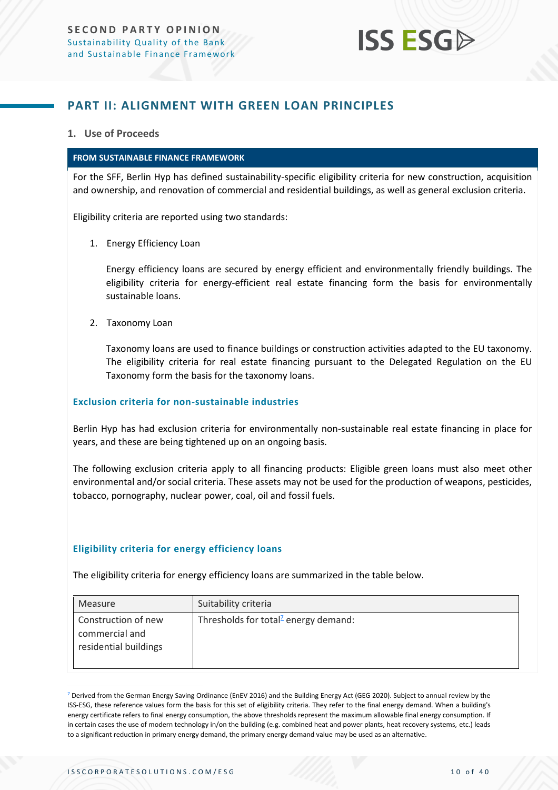# **ISS ESG**

### <span id="page-9-0"></span>**PART II: ALIGNMENT WITH GREEN LOAN PRINCIPLES**

#### **1. Use of Proceeds**

#### **FROM SUSTAINABLE FINANCE FRAMEWORK**

For the SFF, Berlin Hyp has defined sustainability-specific eligibility criteria for new construction, acquisition and ownership, and renovation of commercial and residential buildings, as well as general exclusion criteria.

Eligibility criteria are reported using two standards:

1. Energy Efficiency Loan

Energy efficiency loans are secured by energy efficient and environmentally friendly buildings. The eligibility criteria for energy-efficient real estate financing form the basis for environmentally sustainable loans.

2. Taxonomy Loan

Taxonomy loans are used to finance buildings or construction activities adapted to the EU taxonomy. The eligibility criteria for real estate financing pursuant to the Delegated Regulation on the EU Taxonomy form the basis for the taxonomy loans.

#### **Exclusion criteria for non-sustainable industries**

Berlin Hyp has had exclusion criteria for environmentally non-sustainable real estate financing in place for years, and these are being tightened up on an ongoing basis.

The following exclusion criteria apply to all financing products: Eligible green loans must also meet other environmental and/or social criteria. These assets may not be used for the production of weapons, pesticides, tobacco, pornography, nuclear power, coal, oil and fossil fuels.

#### **Eligibility criteria for energy efficiency loans**

The eligibility criteria for energy efficiency loans are summarized in the table below.

| Measure                                                        | Suitability criteria                             |
|----------------------------------------------------------------|--------------------------------------------------|
| Construction of new<br>commercial and<br>residential buildings | Thresholds for total <sup>2</sup> energy demand: |

<sup>7</sup> Derived from the German Energy Saving Ordinance (EnEV 2016) and the Building Energy Act (GEG 2020). Subject to annual review by the ISS-ESG, these reference values form the basis for this set of eligibility criteria. They refer to the final energy demand. When a building's energy certificate refers to final energy consumption, the above thresholds represent the maximum allowable final energy consumption. If in certain cases the use of modern technology in/on the building (e.g. combined heat and power plants, heat recovery systems, etc.) leads to a significant reduction in primary energy demand, the primary energy demand value may be used as an alternative.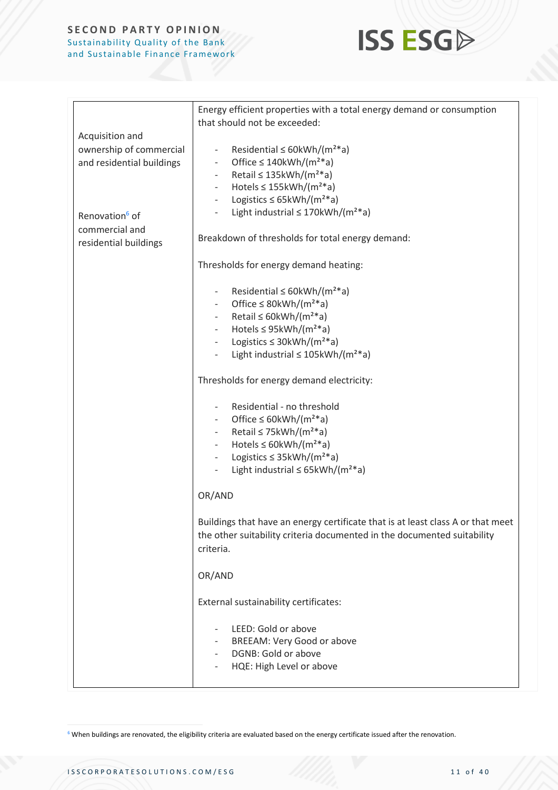

|                            | Energy efficient properties with a total energy demand or consumption           |
|----------------------------|---------------------------------------------------------------------------------|
|                            | that should not be exceeded:                                                    |
| Acquisition and            |                                                                                 |
| ownership of commercial    | Residential $\leq$ 60kWh/(m <sup>2*</sup> a)<br>$\equiv$                        |
| and residential buildings  | Office $\leq$ 140kWh/(m <sup>2*</sup> a)<br>$\overline{\phantom{a}}$            |
|                            | Retail $\leq$ 135kWh/(m <sup>2*</sup> a)<br>$\overline{\phantom{a}}$            |
|                            | Hotels $\leq$ 155kWh/(m <sup>2*</sup> a)<br>$\blacksquare$                      |
|                            | Logistics $\leq$ 65kWh/(m <sup>2*</sup> a)<br>$\equiv$                          |
| Renovation <sup>6</sup> of | Light industrial $\leq$ 170kWh/(m <sup>2*</sup> a)                              |
| commercial and             |                                                                                 |
| residential buildings      | Breakdown of thresholds for total energy demand:                                |
|                            | Thresholds for energy demand heating:                                           |
|                            | Residential $\leq$ 60kWh/(m <sup>2*</sup> a)<br>$\overline{\phantom{a}}$        |
|                            | Office $\leq$ 80kWh/(m <sup>2*</sup> a)<br>$\sim$                               |
|                            | Retail $\leq$ 60kWh/(m <sup>2*</sup> a)<br>$\sim$                               |
|                            | Hotels $\leq$ 95kWh/(m <sup>2*</sup> a)<br>$\sim$                               |
|                            | Logistics $\leq$ 30kWh/(m <sup>2*</sup> a)                                      |
|                            | Light industrial $\leq$ 105kWh/(m <sup>2*</sup> a)                              |
|                            | Thresholds for energy demand electricity:                                       |
|                            | Residential - no threshold<br>$\overline{\phantom{a}}$                          |
|                            | Office $\leq$ 60kWh/(m <sup>2*</sup> a)                                         |
|                            | Retail $\leq$ 75kWh/(m <sup>2*</sup> a)                                         |
|                            | Hotels $\leq$ 60kWh/(m <sup>2*</sup> a)                                         |
|                            | Logistics $\leq$ 35kWh/(m <sup>2*</sup> a)<br>$\overline{\phantom{a}}$          |
|                            | Light industrial $\leq$ 65kWh/(m <sup>2*</sup> a)<br>$\overline{\phantom{a}}$   |
|                            | OR/AND                                                                          |
|                            | Buildings that have an energy certificate that is at least class A or that meet |
|                            | the other suitability criteria documented in the documented suitability         |
|                            | criteria.                                                                       |
|                            |                                                                                 |
|                            | OR/AND                                                                          |
|                            | External sustainability certificates:                                           |
|                            | LEED: Gold or above                                                             |
|                            | BREEAM: Very Good or above                                                      |
|                            | DGNB: Gold or above                                                             |
|                            | HQE: High Level or above                                                        |
|                            |                                                                                 |

 $6$  When buildings are renovated, the eligibility criteria are evaluated based on the energy certificate issued after the renovation.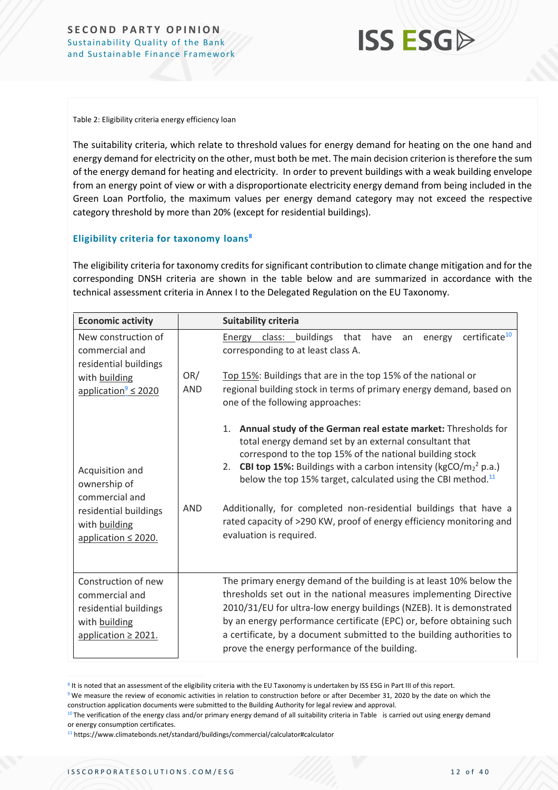## **ISS ESG**

Table 2: Eligibility criteria energy efficiency loan

The suitability criteria, which relate to threshold values for energy demand for heating on the one hand and energy demand for electricity on the other, must both be met. The main decision criterion is therefore the sum of the energy demand for heating and electricity. In order to prevent buildings with a weak building envelope from an energy point of view or with a disproportionate electricity energy demand from being included in the Green Loan Portfolio, the maximum values per energy demand category may not exceed the respective category threshold by more than 20% (except for residential buildings).

#### **Eligibility criteria for taxonomy loans<sup>8</sup>**

The eligibility criteria for taxonomy credits for significant contribution to climate change mitigation and for the corresponding DNSH criteria are shown in the table below and are summarized in accordance with the technical assessment criteria in Annex I to the Delegated Regulation on the EU Taxonomy.

| <b>Economic activity</b>                                                                                    |                   | <b>Suitability criteria</b>                                                                                                                                                                                                                                                                                                                                                                                         |
|-------------------------------------------------------------------------------------------------------------|-------------------|---------------------------------------------------------------------------------------------------------------------------------------------------------------------------------------------------------------------------------------------------------------------------------------------------------------------------------------------------------------------------------------------------------------------|
| New construction of<br>commercial and<br>residential buildings                                              |                   | certificate <sup>10</sup><br>Energy class: buildings that<br>have<br>energy<br>an<br>corresponding to at least class A.                                                                                                                                                                                                                                                                                             |
| with building<br>application $\leq$ 2020                                                                    | OR/<br><b>AND</b> | Top 15%: Buildings that are in the top 15% of the national or<br>regional building stock in terms of primary energy demand, based on<br>one of the following approaches:                                                                                                                                                                                                                                            |
| Acquisition and<br>ownership of<br>commercial and                                                           |                   | 1. Annual study of the German real estate market: Thresholds for<br>total energy demand set by an external consultant that<br>correspond to the top 15% of the national building stock<br><b>CBI top 15%:</b> Buildings with a carbon intensity ( $kgCO/m22 p.a.)$<br>2.<br>below the top 15% target, calculated using the CBI method. <sup>11</sup>                                                                |
| residential buildings<br>with building<br>application $\leq$ 2020.                                          | <b>AND</b>        | Additionally, for completed non-residential buildings that have a<br>rated capacity of >290 KW, proof of energy efficiency monitoring and<br>evaluation is required.                                                                                                                                                                                                                                                |
| Construction of new<br>commercial and<br>residential buildings<br>with building<br>application $\geq$ 2021. |                   | The primary energy demand of the building is at least 10% below the<br>thresholds set out in the national measures implementing Directive<br>2010/31/EU for ultra-low energy buildings (NZEB). It is demonstrated<br>by an energy performance certificate (EPC) or, before obtaining such<br>a certificate, by a document submitted to the building authorities to<br>prove the energy performance of the building. |

<sup>&</sup>lt;sup>8</sup> It is noted that an assessment of the eligibility criteria with the EU Taxonomy is undertaken by ISS ESG in Part III of this report.

<sup>9</sup> We measure the review of economic activities in relation to construction before or after December 31, 2020 by the date on which the construction application documents were submitted to the Building Authority for legal review and approval.

<sup>&</sup>lt;sup>10</sup> The verification of the energy class and/or primary energy demand of all suitability criteria in [Table](#page-12-0) is carried out using energy demand or energy consumption certificates.

<sup>11</sup> https://www.climatebonds.net/standard/buildings/commercial/calculator#calculator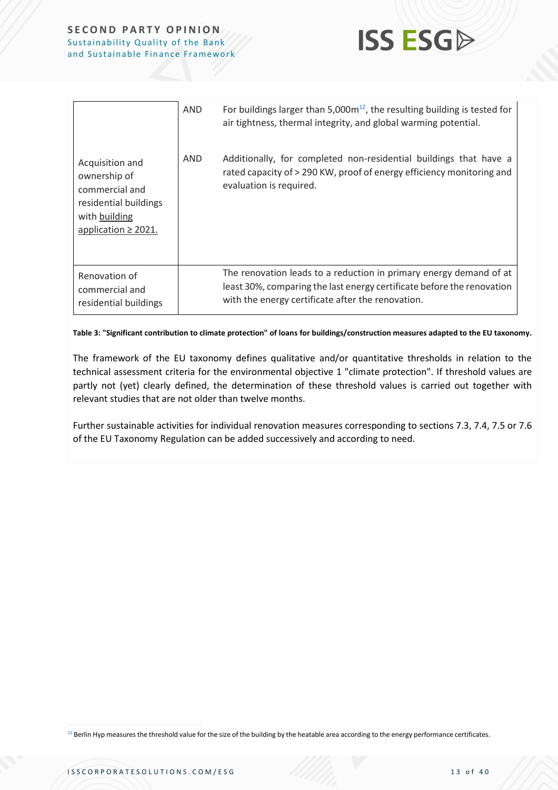

|                                                                                                                         | AND | For buildings larger than $5,000m^{12}$ , the resulting building is tested for<br>air tightness, thermal integrity, and global warming potential.                                                 |
|-------------------------------------------------------------------------------------------------------------------------|-----|---------------------------------------------------------------------------------------------------------------------------------------------------------------------------------------------------|
| Acquisition and<br>ownership of<br>commercial and<br>residential buildings<br>with building<br>application $\geq$ 2021. | AND | Additionally, for completed non-residential buildings that have a<br>rated capacity of > 290 KW, proof of energy efficiency monitoring and<br>evaluation is required.                             |
| Renovation of<br>commercial and<br>residential buildings                                                                |     | The renovation leads to a reduction in primary energy demand of at<br>least 30%, comparing the last energy certificate before the renovation<br>with the energy certificate after the renovation. |

<span id="page-12-0"></span>**Table 3: "Significant contribution to climate protection" of loans for buildings/construction measures adapted to the EU taxonomy.**

The framework of the EU taxonomy defines qualitative and/or quantitative thresholds in relation to the technical assessment criteria for the environmental objective 1 "climate protection". If threshold values are partly not (yet) clearly defined, the determination of these threshold values is carried out together with relevant studies that are not older than twelve months.

Further sustainable activities for individual renovation measures corresponding to sections 7.3, 7.4, 7.5 or 7.6 of the EU Taxonomy Regulation can be added successively and according to need.

<sup>12</sup> Berlin Hyp measures the threshold value for the size of the building by the heatable area according to the energy performance certificates.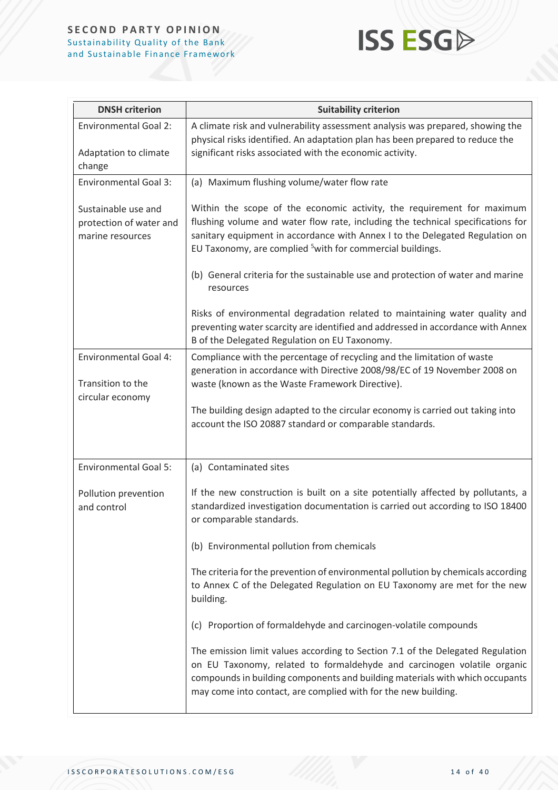# **ISS ESG**

| <b>DNSH</b> criterion                                                 | <b>Suitability criterion</b>                                                                                                                                                                                                                                                                                                                         |
|-----------------------------------------------------------------------|------------------------------------------------------------------------------------------------------------------------------------------------------------------------------------------------------------------------------------------------------------------------------------------------------------------------------------------------------|
| <b>Environmental Goal 2:</b><br>Adaptation to climate<br>change       | A climate risk and vulnerability assessment analysis was prepared, showing the<br>physical risks identified. An adaptation plan has been prepared to reduce the<br>significant risks associated with the economic activity.                                                                                                                          |
| <b>Environmental Goal 3:</b>                                          | (a) Maximum flushing volume/water flow rate                                                                                                                                                                                                                                                                                                          |
| Sustainable use and<br>protection of water and<br>marine resources    | Within the scope of the economic activity, the requirement for maximum<br>flushing volume and water flow rate, including the technical specifications for<br>sanitary equipment in accordance with Annex I to the Delegated Regulation on<br>EU Taxonomy, are complied <sup>5</sup> with for commercial buildings.                                   |
|                                                                       | (b) General criteria for the sustainable use and protection of water and marine<br>resources                                                                                                                                                                                                                                                         |
|                                                                       | Risks of environmental degradation related to maintaining water quality and<br>preventing water scarcity are identified and addressed in accordance with Annex<br>B of the Delegated Regulation on EU Taxonomy.                                                                                                                                      |
| <b>Environmental Goal 4:</b><br>Transition to the<br>circular economy | Compliance with the percentage of recycling and the limitation of waste<br>generation in accordance with Directive 2008/98/EC of 19 November 2008 on<br>waste (known as the Waste Framework Directive).<br>The building design adapted to the circular economy is carried out taking into<br>account the ISO 20887 standard or comparable standards. |
| <b>Environmental Goal 5:</b>                                          | (a) Contaminated sites                                                                                                                                                                                                                                                                                                                               |
| Pollution prevention<br>and control                                   | If the new construction is built on a site potentially affected by pollutants, a<br>standardized investigation documentation is carried out according to ISO 18400<br>or comparable standards.                                                                                                                                                       |
|                                                                       | (b) Environmental pollution from chemicals                                                                                                                                                                                                                                                                                                           |
|                                                                       | The criteria for the prevention of environmental pollution by chemicals according<br>to Annex C of the Delegated Regulation on EU Taxonomy are met for the new<br>building.                                                                                                                                                                          |
|                                                                       | (c) Proportion of formaldehyde and carcinogen-volatile compounds                                                                                                                                                                                                                                                                                     |
|                                                                       | The emission limit values according to Section 7.1 of the Delegated Regulation<br>on EU Taxonomy, related to formaldehyde and carcinogen volatile organic<br>compounds in building components and building materials with which occupants<br>may come into contact, are complied with for the new building.                                          |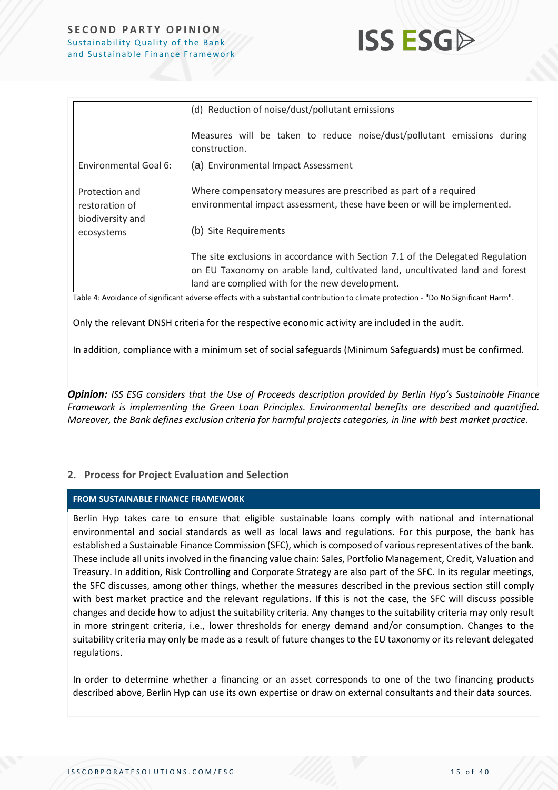

|                                                                    | (d) Reduction of noise/dust/pollutant emissions                                                                                                                                                                   |
|--------------------------------------------------------------------|-------------------------------------------------------------------------------------------------------------------------------------------------------------------------------------------------------------------|
|                                                                    | Measures will be taken to reduce noise/dust/pollutant emissions during<br>construction.                                                                                                                           |
| Environmental Goal 6:                                              | (a) Environmental Impact Assessment                                                                                                                                                                               |
| Protection and<br>restoration of<br>biodiversity and<br>ecosystems | Where compensatory measures are prescribed as part of a required<br>environmental impact assessment, these have been or will be implemented.<br>(b) Site Requirements                                             |
|                                                                    | The site exclusions in accordance with Section 7.1 of the Delegated Regulation<br>on EU Taxonomy on arable land, cultivated land, uncultivated land and forest<br>land are complied with for the new development. |

Table 4: Avoidance of significant adverse effects with a substantial contribution to climate protection - "Do No Significant Harm".

Only the relevant DNSH criteria for the respective economic activity are included in the audit.

In addition, compliance with a minimum set of social safeguards (Minimum Safeguards) must be confirmed.

*Opinion: ISS ESG considers that the Use of Proceeds description provided by Berlin Hyp's Sustainable Finance Framework is implementing the Green Loan Principles. Environmental benefits are described and quantified. Moreover, the Bank defines exclusion criteria for harmful projects categories, in line with best market practice.*

#### **2. Process for Project Evaluation and Selection**

#### **FROM SUSTAINABLE FINANCE FRAMEWORK**

Berlin Hyp takes care to ensure that eligible sustainable loans comply with national and international environmental and social standards as well as local laws and regulations. For this purpose, the bank has established a Sustainable Finance Commission (SFC), which is composed of various representatives of the bank. These include all units involved in the financing value chain: Sales, Portfolio Management, Credit, Valuation and Treasury. In addition, Risk Controlling and Corporate Strategy are also part of the SFC. In its regular meetings, the SFC discusses, among other things, whether the measures described in the previous section still comply with best market practice and the relevant regulations. If this is not the case, the SFC will discuss possible changes and decide how to adjust the suitability criteria. Any changes to the suitability criteria may only result in more stringent criteria, i.e., lower thresholds for energy demand and/or consumption. Changes to the suitability criteria may only be made as a result of future changes to the EU taxonomy or its relevant delegated regulations.

In order to determine whether a financing or an asset corresponds to one of the two financing products described above, Berlin Hyp can use its own expertise or draw on external consultants and their data sources.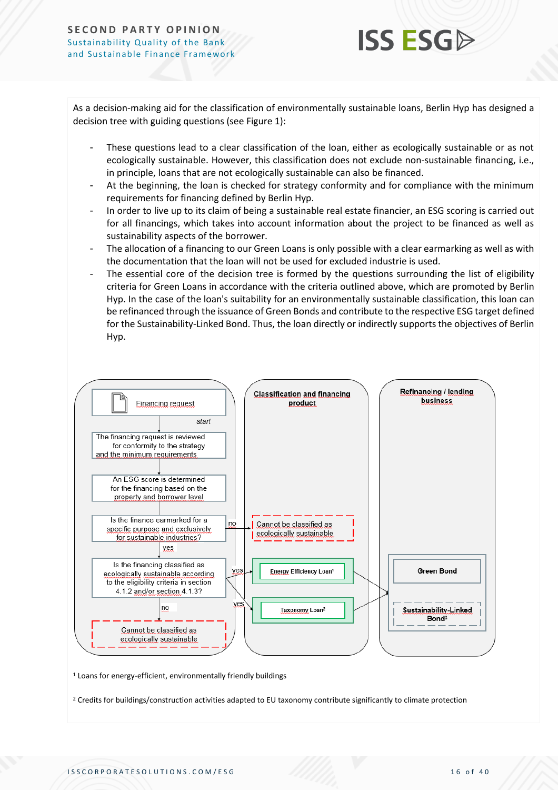### **ISS ESG**

As a decision-making aid for the classification of environmentally sustainable loans, Berlin Hyp has designed a decision tree with guiding questions (se[e Figure 1\)](#page-16-0):

- These questions lead to a clear classification of the loan, either as ecologically sustainable or as not ecologically sustainable. However, this classification does not exclude non-sustainable financing, i.e., in principle, loans that are not ecologically sustainable can also be financed.
- At the beginning, the loan is checked for strategy conformity and for compliance with the minimum requirements for financing defined by Berlin Hyp.
- In order to live up to its claim of being a sustainable real estate financier, an ESG scoring is carried out for all financings, which takes into account information about the project to be financed as well as sustainability aspects of the borrower.
- The allocation of a financing to our Green Loans is only possible with a clear earmarking as well as with the documentation that the loan will not be used for excluded industrie is used.
- The essential core of the decision tree is formed by the questions surrounding the list of eligibility criteria for Green Loans in accordance with the criteria outlined above, which are promoted by Berlin Hyp. In the case of the loan's suitability for an environmentally sustainable classification, this loan can be refinanced through the issuance of Green Bonds and contribute to the respective ESG target defined for the Sustainability-Linked Bond. Thus, the loan directly or indirectly supports the objectives of Berlin Hyp.



<sup>1</sup> Loans for energy-efficient, environmentally friendly buildings

<sup>2</sup> Credits for buildings/construction activities adapted to EU taxonomy contribute significantly to climate protection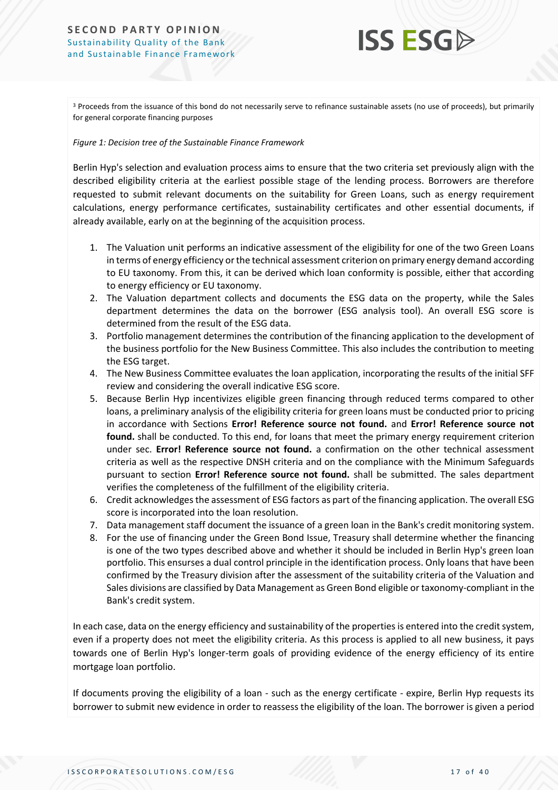

<sup>3</sup> Proceeds from the issuance of this bond do not necessarily serve to refinance sustainable assets (no use of proceeds), but primarily for general corporate financing purposes

#### <span id="page-16-0"></span>*Figure 1: Decision tree of the Sustainable Finance Framework*

Berlin Hyp's selection and evaluation process aims to ensure that the two criteria set previously align with the described eligibility criteria at the earliest possible stage of the lending process. Borrowers are therefore requested to submit relevant documents on the suitability for Green Loans, such as energy requirement calculations, energy performance certificates, sustainability certificates and other essential documents, if already available, early on at the beginning of the acquisition process.

- 1. The Valuation unit performs an indicative assessment of the eligibility for one of the two Green Loans in terms of energy efficiency or the technical assessment criterion on primary energy demand according to EU taxonomy. From this, it can be derived which loan conformity is possible, either that according to energy efficiency or EU taxonomy.
- 2. The Valuation department collects and documents the ESG data on the property, while the Sales department determines the data on the borrower (ESG analysis tool). An overall ESG score is determined from the result of the ESG data.
- 3. Portfolio management determines the contribution of the financing application to the development of the business portfolio for the New Business Committee. This also includes the contribution to meeting the ESG target.
- 4. The New Business Committee evaluates the loan application, incorporating the results of the initial SFF review and considering the overall indicative ESG score.
- 5. Because Berlin Hyp incentivizes eligible green financing through reduced terms compared to other loans, a preliminary analysis of the eligibility criteria for green loans must be conducted prior to pricing in accordance with Sections **Error! Reference source not found.** and **Error! Reference source not found.** shall be conducted. To this end, for loans that meet the primary energy requirement criterion under sec. **Error! Reference source not found.** a confirmation on the other technical assessment criteria as well as the respective DNSH criteria and on the compliance with the Minimum Safeguards pursuant to section **Error! Reference source not found.** shall be submitted. The sales department verifies the completeness of the fulfillment of the eligibility criteria.
- 6. Credit acknowledges the assessment of ESG factors as part of the financing application. The overall ESG score is incorporated into the loan resolution.
- 7. Data management staff document the issuance of a green loan in the Bank's credit monitoring system.
- 8. For the use of financing under the Green Bond Issue, Treasury shall determine whether the financing is one of the two types described above and whether it should be included in Berlin Hyp's green loan portfolio. This ensurses a dual control principle in the identification process. Only loans that have been confirmed by the Treasury division after the assessment of the suitability criteria of the Valuation and Sales divisions are classified by Data Management as Green Bond eligible or taxonomy-compliant in the Bank's credit system.

In each case, data on the energy efficiency and sustainability of the properties is entered into the credit system, even if a property does not meet the eligibility criteria. As this process is applied to all new business, it pays towards one of Berlin Hyp's longer-term goals of providing evidence of the energy efficiency of its entire mortgage loan portfolio.

If documents proving the eligibility of a loan - such as the energy certificate - expire, Berlin Hyp requests its borrower to submit new evidence in order to reassess the eligibility of the loan. The borrower is given a period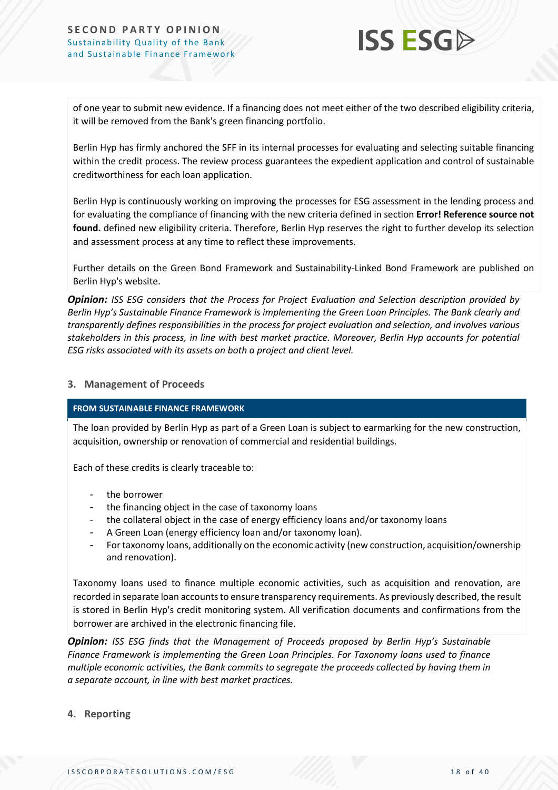

of one year to submit new evidence. If a financing does not meet either of the two described eligibility criteria, it will be removed from the Bank's green financing portfolio.

Berlin Hyp has firmly anchored the SFF in its internal processes for evaluating and selecting suitable financing within the credit process. The review process guarantees the expedient application and control of sustainable creditworthiness for each loan application.

Berlin Hyp is continuously working on improving the processes for ESG assessment in the lending process and for evaluating the compliance of financing with the new criteria defined in section **Error! Reference source not found.** defined new eligibility criteria. Therefore, Berlin Hyp reserves the right to further develop its selection and assessment process at any time to reflect these improvements.

Further details on the Green Bond Framework and Sustainability-Linked Bond Framework are published on Berlin Hyp's website.

*Opinion: ISS ESG considers that the Process for Project Evaluation and Selection description provided by Berlin Hyp's Sustainable Finance Framework is implementing the Green Loan Principles. The Bank clearly and transparently defines responsibilities in the process for project evaluation and selection, and involves various stakeholders in this process, in line with best market practice. Moreover, Berlin Hyp accounts for potential ESG risks associated with its assets on both a project and client level.* 

#### **3. Management of Proceeds**

#### **FROM SUSTAINABLE FINANCE FRAMEWORK**

The loan provided by Berlin Hyp as part of a Green Loan is subject to earmarking for the new construction, acquisition, ownership or renovation of commercial and residential buildings.

Each of these credits is clearly traceable to:

- the borrower
- the financing object in the case of taxonomy loans
- the collateral object in the case of energy efficiency loans and/or taxonomy loans
- A Green Loan (energy efficiency loan and/or taxonomy loan).
- For taxonomy loans, additionally on the economic activity (new construction, acquisition/ownership and renovation).

Taxonomy loans used to finance multiple economic activities, such as acquisition and renovation, are recorded in separate loan accounts to ensure transparency requirements. As previously described, the result is stored in Berlin Hyp's credit monitoring system. All verification documents and confirmations from the borrower are archived in the electronic financing file.

*Opinion: ISS ESG finds that the Management of Proceeds proposed by Berlin Hyp's Sustainable Finance Framework is implementing the Green Loan Principles. For Taxonomy loans used to finance multiple economic activities, the Bank commits to segregate the proceeds collected by having them in a separate account, in line with best market practices.*

**4. Reporting**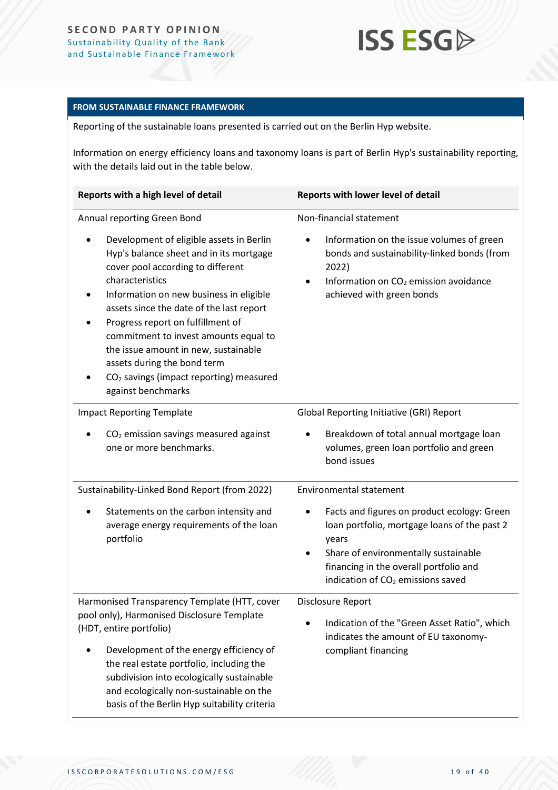## **ISS ESGA**

#### **FROM SUSTAINABLE FINANCE FRAMEWORK**

Reporting of the sustainable loans presented is carried out on the Berlin Hyp website.

Information on energy efficiency loans and taxonomy loans is part of Berlin Hyp's sustainability reporting, with the details laid out in the table below.

| Reports with a high level of detail                                                                                                                                                                                                                                                                                                                                                                                                                                  | Reports with lower level of detail                                                                                                                                                                                                      |  |
|----------------------------------------------------------------------------------------------------------------------------------------------------------------------------------------------------------------------------------------------------------------------------------------------------------------------------------------------------------------------------------------------------------------------------------------------------------------------|-----------------------------------------------------------------------------------------------------------------------------------------------------------------------------------------------------------------------------------------|--|
| Annual reporting Green Bond                                                                                                                                                                                                                                                                                                                                                                                                                                          | Non-financial statement                                                                                                                                                                                                                 |  |
| Development of eligible assets in Berlin<br>Hyp's balance sheet and in its mortgage<br>cover pool according to different<br>characteristics<br>Information on new business in eligible<br>assets since the date of the last report<br>Progress report on fulfillment of<br>commitment to invest amounts equal to<br>the issue amount in new, sustainable<br>assets during the bond term<br>CO <sub>2</sub> savings (impact reporting) measured<br>against benchmarks | Information on the issue volumes of green<br>bonds and sustainability-linked bonds (from<br>2022)<br>Information on CO <sub>2</sub> emission avoidance<br>achieved with green bonds                                                     |  |
| <b>Impact Reporting Template</b>                                                                                                                                                                                                                                                                                                                                                                                                                                     | <b>Global Reporting Initiative (GRI) Report</b>                                                                                                                                                                                         |  |
| $CO2$ emission savings measured against<br>one or more benchmarks.                                                                                                                                                                                                                                                                                                                                                                                                   | Breakdown of total annual mortgage loan<br>volumes, green loan portfolio and green<br>bond issues                                                                                                                                       |  |
| Sustainability-Linked Bond Report (from 2022)                                                                                                                                                                                                                                                                                                                                                                                                                        | <b>Environmental statement</b>                                                                                                                                                                                                          |  |
| Statements on the carbon intensity and<br>average energy requirements of the loan<br>portfolio                                                                                                                                                                                                                                                                                                                                                                       | Facts and figures on product ecology: Green<br>loan portfolio, mortgage loans of the past 2<br>years<br>Share of environmentally sustainable<br>financing in the overall portfolio and<br>indication of CO <sub>2</sub> emissions saved |  |
| Harmonised Transparency Template (HTT, cover                                                                                                                                                                                                                                                                                                                                                                                                                         | Disclosure Report                                                                                                                                                                                                                       |  |
| pool only), Harmonised Disclosure Template<br>(HDT, entire portfolio)                                                                                                                                                                                                                                                                                                                                                                                                | Indication of the "Green Asset Ratio", which                                                                                                                                                                                            |  |
| Development of the energy efficiency of<br>the real estate portfolio, including the<br>subdivision into ecologically sustainable<br>and ecologically non-sustainable on the<br>basis of the Berlin Hyp suitability criteria                                                                                                                                                                                                                                          | indicates the amount of EU taxonomy-<br>compliant financing                                                                                                                                                                             |  |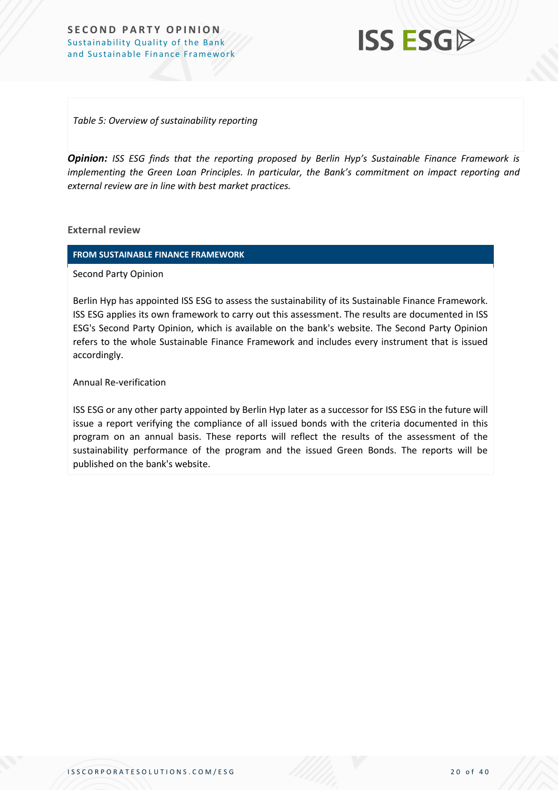**ISS ESG** 

*Table 5: Overview of sustainability reporting*

*Opinion: ISS ESG finds that the reporting proposed by Berlin Hyp's Sustainable Finance Framework is implementing the Green Loan Principles. In particular, the Bank's commitment on impact reporting and external review are in line with best market practices.*

**External review**

**FROM SUSTAINABLE FINANCE FRAMEWORK**

Second Party Opinion

Berlin Hyp has appointed ISS ESG to assess the sustainability of its Sustainable Finance Framework. ISS ESG applies its own framework to carry out this assessment. The results are documented in ISS ESG's Second Party Opinion, which is available on the bank's website. The Second Party Opinion refers to the whole Sustainable Finance Framework and includes every instrument that is issued accordingly.

Annual Re-verification

ISS ESG or any other party appointed by Berlin Hyp later as a successor for ISS ESG in the future will issue a report verifying the compliance of all issued bonds with the criteria documented in this program on an annual basis. These reports will reflect the results of the assessment of the sustainability performance of the program and the issued Green Bonds. The reports will be published on the bank's website.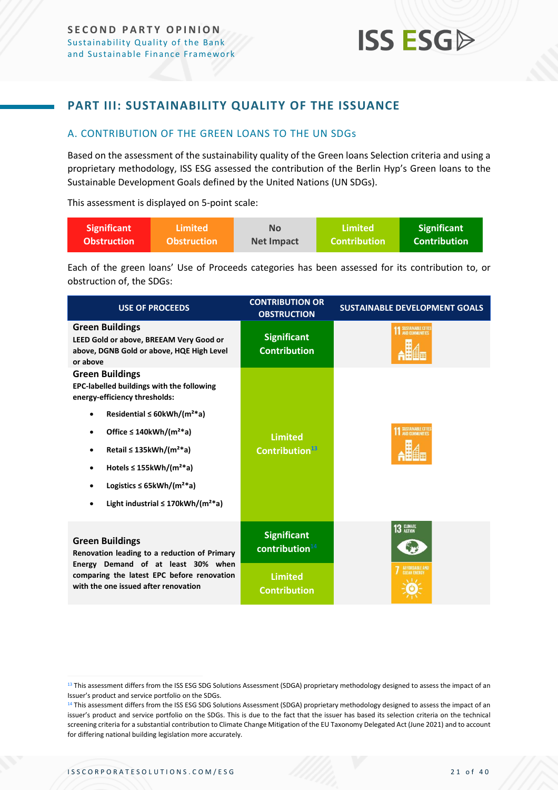### <span id="page-20-0"></span>**PART III: SUSTAINABILITY QUALITY OF THE ISSUANCE**

#### <span id="page-20-1"></span>A. CONTRIBUTION OF THE GREEN LOANS TO THE UN SDGs

Based on the assessment of the sustainability quality of the Green loans Selection criteria and using a proprietary methodology, ISS ESG assessed the contribution of the Berlin Hyp's Green loans to the Sustainable Development Goals defined by the United Nations (UN SDGs).

This assessment is displayed on 5-point scale:

| <b>Significant</b> | <b>Limited</b>     | No         | Limited             | <b>Significant</b> |
|--------------------|--------------------|------------|---------------------|--------------------|
| <b>Obstruction</b> | <b>Obstruction</b> | Net Impact | <b>Contribution</b> | Contribution \     |

Each of the green loans' Use of Proceeds categories has been assessed for its contribution to, or obstruction of, the SDGs:

| <b>USE OF PROCEEDS</b>                                                                                                                                                                                                                                                                                                                                                                                           | <b>CONTRIBUTION OR</b><br><b>OBSTRUCTION</b> | <b>SUSTAINABLE DEVELOPMENT GOALS</b> |
|------------------------------------------------------------------------------------------------------------------------------------------------------------------------------------------------------------------------------------------------------------------------------------------------------------------------------------------------------------------------------------------------------------------|----------------------------------------------|--------------------------------------|
| <b>Green Buildings</b><br>LEED Gold or above, BREEAM Very Good or<br>above, DGNB Gold or above, HQE High Level<br>or above                                                                                                                                                                                                                                                                                       | <b>Significant</b><br><b>Contribution</b>    | SUSTAINABLE CITIE                    |
| <b>Green Buildings</b><br><b>EPC-labelled buildings with the following</b><br>energy-efficiency thresholds:<br>Residential $\leq$ 60kWh/(m <sup>2*</sup> a)<br>Office $\leq$ 140kWh/(m <sup>2*</sup> a)<br>Retail $\leq$ 135kWh/(m <sup>2*</sup> a)<br>Hotels $\leq$ 155kWh/(m <sup>2*</sup> a)<br>Logistics $\leq$ 65kWh/(m <sup>2*</sup> a)<br>Light industrial $\leq$ 170kWh/(m <sup>2*</sup> a)<br>$\bullet$ | <b>Limited</b><br>Contribution <sup>13</sup> | SUSTAINABLE CITIE                    |
| <b>Green Buildings</b><br>Renovation leading to a reduction of Primary                                                                                                                                                                                                                                                                                                                                           | <b>Significant</b><br>contribution $14$      | 13 CLIMATE                           |
| Energy Demand of at least 30% when<br>comparing the latest EPC before renovation<br>with the one issued after renovation                                                                                                                                                                                                                                                                                         | <b>Limited</b><br><b>Contribution</b>        |                                      |

<sup>&</sup>lt;sup>13</sup> This assessment differs from the ISS ESG SDG Solutions Assessment (SDGA) proprietary methodology designed to assess the impact of an Issuer's product and service portfolio on the SDGs.

<sup>14</sup> This assessment differs from the ISS ESG SDG Solutions Assessment (SDGA) proprietary methodology designed to assess the impact of an issuer's product and service portfolio on the SDGs. This is due to the fact that the issuer has based its selection criteria on the technical screening criteria for a substantial contribution to Climate Change Mitigation of the EU Taxonomy Delegated Act (June 2021) and to account for differing national building legislation more accurately.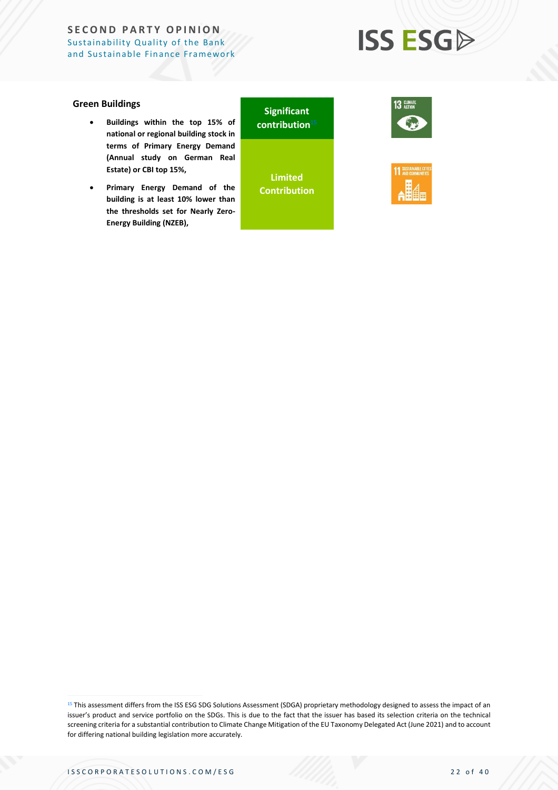# **ISS ESGA**

#### **Green Buildings**

- **Buildings within the top 15% of national or regional building stock in terms of Primary Energy Demand (Annual study on German Real Estate) or CBI top 15%,**
- **Primary Energy Demand of the building is at least 10% lower than the thresholds set for Nearly Zero-Energy Building (NZEB),**

**Significant contribution** 15

**Limited Contribution**



![](_page_21_Picture_8.jpeg)

<sup>&</sup>lt;sup>15</sup> This assessment differs from the ISS ESG SDG Solutions Assessment (SDGA) proprietary methodology designed to assess the impact of an issuer's product and service portfolio on the SDGs. This is due to the fact that the issuer has based its selection criteria on the technical screening criteria for a substantial contribution to Climate Change Mitigation of the EU Taxonomy Delegated Act (June 2021) and to account for differing national building legislation more accurately.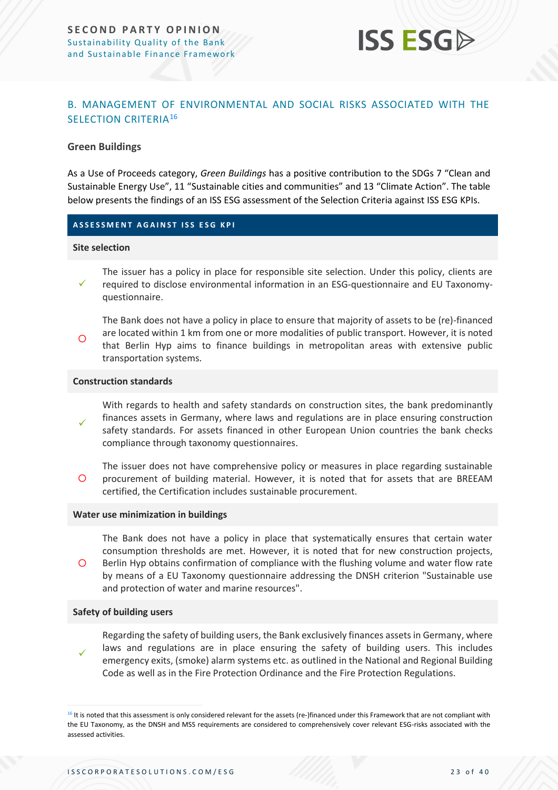![](_page_22_Picture_1.jpeg)

#### <span id="page-22-0"></span>B. MANAGEMENT OF ENVIRONMENTAL AND SOCIAL RISKS ASSOCIATED WITH THE SELECTION CRITERIA<sup>16</sup>

#### **Green Buildings**

As a Use of Proceeds category, *Green Buildings* has a positive contribution to the SDGs 7 "Clean and Sustainable Energy Use", 11 "Sustainable cities and communities" and 13 "Climate Action". The table below presents the findings of an ISS ESG assessment of the Selection Criteria against ISS ESG KPIs.

#### **A S S E S S M E N T A G A I N S T I S S E S G K P I**

#### **Site selection**

✓ The issuer has a policy in place for responsible site selection. Under this policy, clients are required to disclose environmental information in an ESG-questionnaire and EU Taxonomyquestionnaire.

 $\circ$ The Bank does not have a policy in place to ensure that majority of assets to be (re)-financed are located within 1 km from one or more modalities of public transport. However, it is noted that Berlin Hyp aims to finance buildings in metropolitan areas with extensive public transportation systems.

#### **Construction standards**

✓ With regards to health and safety standards on construction sites, the bank predominantly finances assets in Germany, where laws and regulations are in place ensuring construction safety standards. For assets financed in other European Union countries the bank checks compliance through taxonomy questionnaires.

 $\circ$ The issuer does not have comprehensive policy or measures in place regarding sustainable procurement of building material. However, it is noted that for assets that are BREEAM certified, the Certification includes sustainable procurement.

#### **Water use minimization in buildings**

 $\circ$ The Bank does not have a policy in place that systematically ensures that certain water consumption thresholds are met. However, it is noted that for new construction projects, Berlin Hyp obtains confirmation of compliance with the flushing volume and water flow rate by means of a EU Taxonomy questionnaire addressing the DNSH criterion "Sustainable use and protection of water and marine resources".

#### **Safety of building users**

✓ Regarding the safety of building users, the Bank exclusively finances assets in Germany, where laws and regulations are in place ensuring the safety of building users. This includes emergency exits, (smoke) alarm systems etc. as outlined in the National and Regional Building Code as well as in the Fire Protection Ordinance and the Fire Protection Regulations.

<sup>&</sup>lt;sup>16</sup> It is noted that this assessment is only considered relevant for the assets (re-)financed under this Framework that are not compliant with the EU Taxonomy, as the DNSH and MSS requirements are considered to comprehensively cover relevant ESG-risks associated with the assessed activities.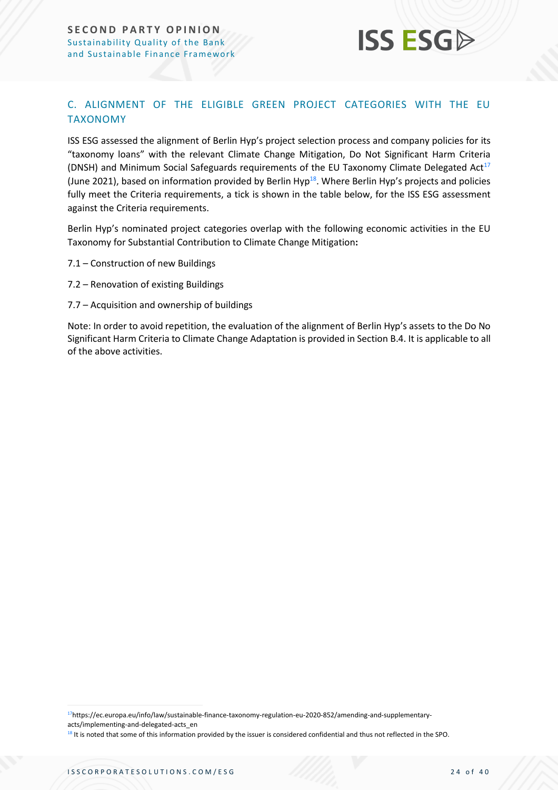![](_page_23_Picture_1.jpeg)

### C. ALIGNMENT OF THE ELIGIBLE GREEN PROJECT CATEGORIES WITH THE EU TAXONOMY

ISS ESG assessed the alignment of Berlin Hyp's project selection process and company policies for its "taxonomy loans" with the relevant Climate Change Mitigation, Do Not Significant Harm Criteria (DNSH) and Minimum Social Safeguards requirements of the EU Taxonomy Climate Delegated Act<sup>17</sup> (June 2021), based on information provided by Berlin Hyp<sup>18</sup>. Where Berlin Hyp's projects and policies fully meet the Criteria requirements, a tick is shown in the table below, for the ISS ESG assessment against the Criteria requirements.

Berlin Hyp's nominated project categories overlap with the following economic activities in the EU Taxonomy for Substantial Contribution to Climate Change Mitigation**:**

- 7.1 Construction of new Buildings
- 7.2 Renovation of existing Buildings
- 7.7 Acquisition and ownership of buildings

Note: In order to avoid repetition, the evaluation of the alignment of Berlin Hyp's assets to the Do No Significant Harm Criteria to Climate Change Adaptation is provided in Section B.4. It is applicable to all of the above activities.

17https://ec.europa.eu/info/law/sustainable-finance-taxonomy-regulation-eu-2020-852/amending-and-supplementary-

acts/implementing-and-delegated-acts\_en

<sup>18</sup> It is noted that some of this information provided by the issuer is considered confidential and thus not reflected in the SPO.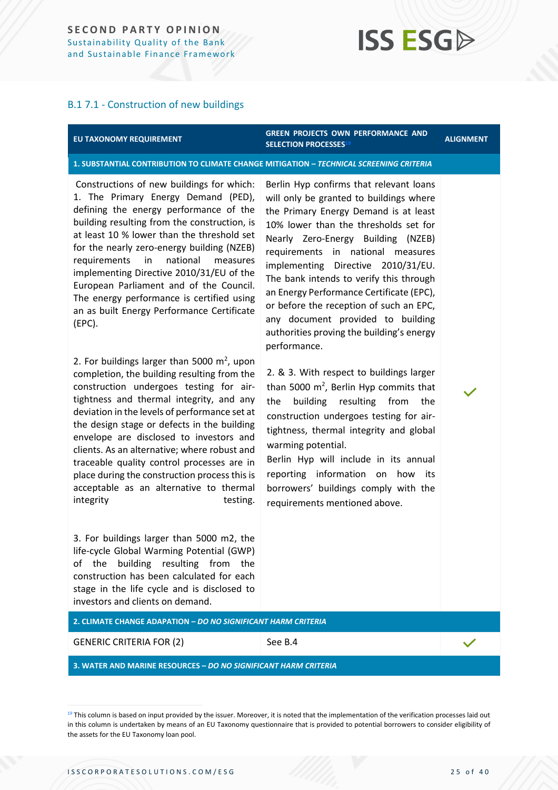# **ISS ESG**

#### B.1 7.1 - Construction of new buildings

#### **EU TAXONOMY REQUIREMENT**

#### **GREEN PROJECTS OWN PERFORMANCE AND SELECTION PROCESSES<sup>19</sup> ALIGNMENT**

**1. SUBSTANTIAL CONTRIBUTION TO CLIMATE CHANGE MITIGATION –** *TECHNICAL SCREENING CRITERIA*

Constructions of new buildings for which: 1. The Primary Energy Demand (PED), defining the energy performance of the building resulting from the construction, is at least 10 % lower than the threshold set for the nearly zero-energy building (NZEB) requirements in national measures implementing Directive 2010/31/EU of the European Parliament and of the Council. The energy performance is certified using an as built Energy Performance Certificate (EPC).

2. For buildings larger than 5000  $m^2$ , upon completion, the building resulting from the construction undergoes testing for airtightness and thermal integrity, and any deviation in the levels of performance set at the design stage or defects in the building envelope are disclosed to investors and clients. As an alternative; where robust and traceable quality control processes are in place during the construction process this is acceptable as an alternative to thermal integrity testing.

3. For buildings larger than 5000 m2, the life-cycle Global Warming Potential (GWP) of the building resulting from the construction has been calculated for each stage in the life cycle and is disclosed to investors and clients on demand.

Berlin Hyp confirms that relevant loans will only be granted to buildings where the Primary Energy Demand is at least 10% lower than the thresholds set for Nearly Zero-Energy Building (NZEB) requirements in national measures implementing Directive 2010/31/EU. The bank intends to verify this through an Energy Performance Certificate (EPC), or before the reception of such an EPC, any document provided to building authorities proving the building's energy performance.

2. & 3. With respect to buildings larger than 5000 m<sup>2</sup>, Berlin Hyp commits that the building resulting from the construction undergoes testing for airtightness, thermal integrity and global warming potential.

Berlin Hyp will include in its annual reporting information on how its borrowers' buildings comply with the requirements mentioned above.

**2. CLIMATE CHANGE ADAPATION –** *DO NO SIGNIFICANT HARM CRITERIA*

GENERIC CRITERIA FOR (2) See B.4

**3. WATER AND MARINE RESOURCES –** *DO NO SIGNIFICANT HARM CRITERIA*

<sup>&</sup>lt;sup>19</sup> This column is based on input provided by the issuer. Moreover, it is noted that the implementation of the verification processes laid out in this column is undertaken by means of an EU Taxonomy questionnaire that is provided to potential borrowers to consider eligibility of the assets for the EU Taxonomy loan pool.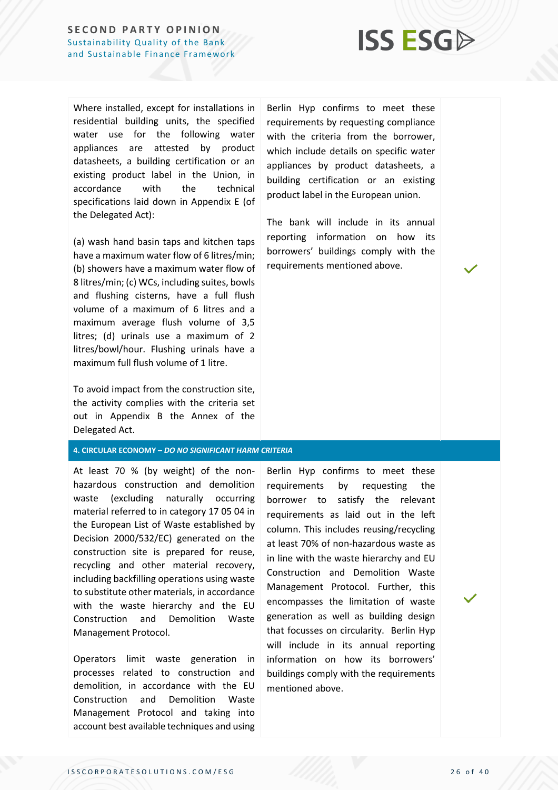![](_page_25_Picture_1.jpeg)

Where installed, except for installations in residential building units, the specified water use for the following water appliances are attested by product datasheets, a building certification or an existing product label in the Union, in accordance with the technical specifications laid down in Appendix E (of the Delegated Act):

(a) wash hand basin taps and kitchen taps have a maximum water flow of 6 litres/min; (b) showers have a maximum water flow of 8 litres/min; (c) WCs, including suites, bowls and flushing cisterns, have a full flush volume of a maximum of 6 litres and a maximum average flush volume of 3,5 litres; (d) urinals use a maximum of 2 litres/bowl/hour. Flushing urinals have a maximum full flush volume of 1 litre.

To avoid impact from the construction site, the activity complies with the criteria set out in Appendix B the Annex of the Delegated Act.

#### **4. CIRCULAR ECONOMY –** *DO NO SIGNIFICANT HARM CRITERIA*

At least 70 % (by weight) of the nonhazardous construction and demolition waste (excluding naturally occurring material referred to in category 17 05 04 in the European List of Waste established by Decision 2000/532/EC) generated on the construction site is prepared for reuse, recycling and other material recovery, including backfilling operations using waste to substitute other materials, in accordance with the waste hierarchy and the EU Construction and Demolition Waste Management Protocol.

Operators limit waste generation in processes related to construction and demolition, in accordance with the EU Construction and Demolition Waste Management Protocol and taking into account best available techniques and using

Berlin Hyp confirms to meet these requirements by requesting compliance with the criteria from the borrower, which include details on specific water appliances by product datasheets, a building certification or an existing product label in the European union.

The bank will include in its annual reporting information on how its borrowers' buildings comply with the requirements mentioned above.

Berlin Hyp confirms to meet these requirements by requesting the borrower to satisfy the relevant requirements as laid out in the left column. This includes reusing/recycling at least 70% of non-hazardous waste as in line with the waste hierarchy and EU Construction and Demolition Waste Management Protocol. Further, this encompasses the limitation of waste generation as well as building design that focusses on circularity. Berlin Hyp will include in its annual reporting information on how its borrowers' buildings comply with the requirements mentioned above.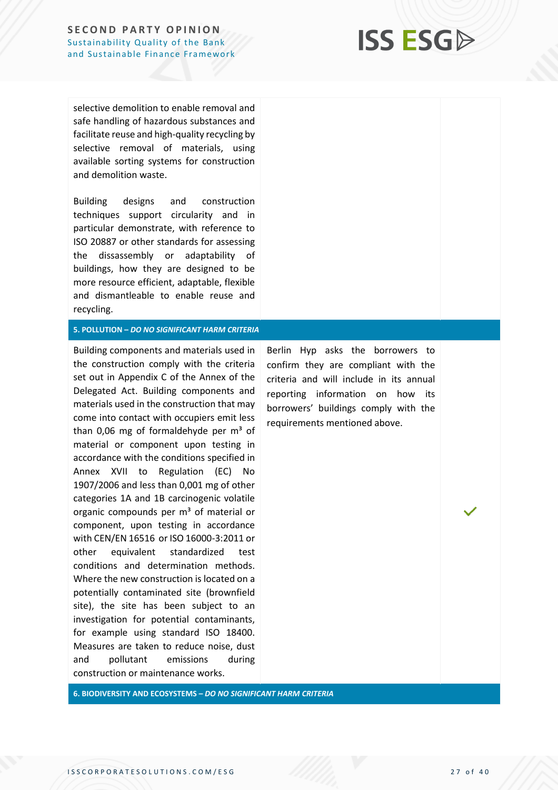# **ISS ESG**

selective demolition to enable removal and safe handling of hazardous substances and facilitate reuse and high-quality recycling by selective removal of materials, using available sorting systems for construction and demolition waste.

Building designs and construction techniques support circularity and in particular demonstrate, with reference to ISO 20887 or other standards for assessing the dissassembly or adaptability of buildings, how they are designed to be more resource efficient, adaptable, flexible and dismantleable to enable reuse and recycling.

#### **5. POLLUTION –** *DO NO SIGNIFICANT HARM CRITERIA*

Building components and materials used in the construction comply with the criteria set out in Appendix C of the Annex of the Delegated Act. Building components and materials used in the construction that may come into contact with occupiers emit less than 0,06 mg of formaldehyde per  $m<sup>3</sup>$  of material or component upon testing in accordance with the conditions specified in Annex XVII to Regulation (EC) No 1907/2006 and less than 0,001 mg of other categories 1A and 1B carcinogenic volatile organic compounds per  $m<sup>3</sup>$  of material or component, upon testing in accordance with CEN/EN 16516 or ISO 16000-3:2011 or other equivalent standardized test conditions and determination methods. Where the new construction is located on a potentially contaminated site (brownfield site), the site has been subject to an investigation for potential contaminants, for example using standard ISO 18400. Measures are taken to reduce noise, dust and pollutant emissions during construction or maintenance works. ›

Berlin Hyp asks the borrowers to confirm they are compliant with the criteria and will include in its annual reporting information on how its borrowers' buildings comply with the requirements mentioned above.

**6. BIODIVERSITY AND ECOSYSTEMS –** *DO NO SIGNIFICANT HARM CRITERIA*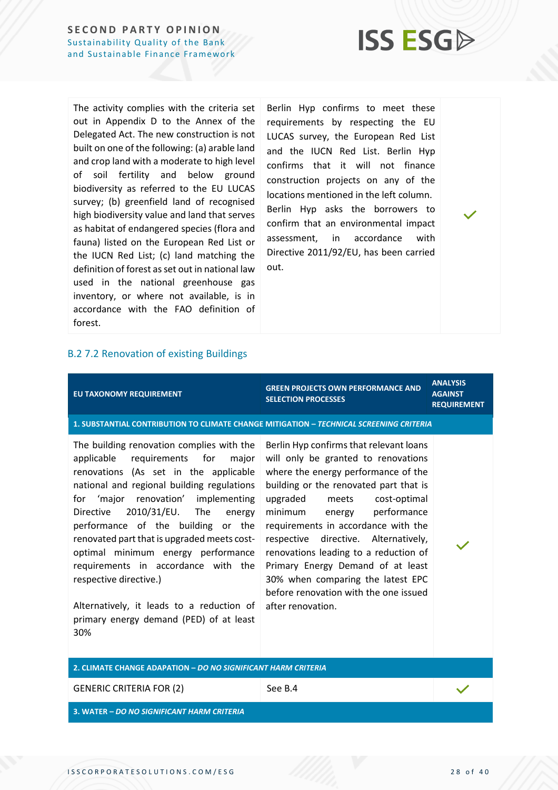![](_page_27_Picture_1.jpeg)

The activity complies with the criteria set out in Appendix D to the Annex of the Delegated Act. The new construction is not built on one of the following: (a) arable land and crop land with a moderate to high level of soil fertility and below ground biodiversity as referred to the EU LUCAS survey; (b) greenfield land of recognised high biodiversity value and land that serves as habitat of endangered species (flora and fauna) listed on the European Red List or the IUCN Red List; (c) land matching the definition of forest as set out in national law used in the national greenhouse gas inventory, or where not available, is in accordance with the FAO definition of forest.

Berlin Hyp confirms to meet these requirements by respecting the EU LUCAS survey, the European Red List and the IUCN Red List. Berlin Hyp confirms that it will not finance construction projects on any of the locations mentioned in the left column. Berlin Hyp asks the borrowers to confirm that an environmental impact assessment, in accordance with Directive 2011/92/EU, has been carried out.

#### B.2 7.2 Renovation of existing Buildings

| <b>EU TAXONOMY REQUIREMENT</b>                                                                                                                                                                                                                                                                                                                                                                                                                                                                                                                                    | <b>GREEN PROJECTS OWN PERFORMANCE AND</b><br><b>SELECTION PROCESSES</b>                                                                                                                                                                                                                                                                                                                                                                                                                         | <b>ANALYSIS</b><br><b>AGAINST</b><br><b>REQUIREMENT</b> |
|-------------------------------------------------------------------------------------------------------------------------------------------------------------------------------------------------------------------------------------------------------------------------------------------------------------------------------------------------------------------------------------------------------------------------------------------------------------------------------------------------------------------------------------------------------------------|-------------------------------------------------------------------------------------------------------------------------------------------------------------------------------------------------------------------------------------------------------------------------------------------------------------------------------------------------------------------------------------------------------------------------------------------------------------------------------------------------|---------------------------------------------------------|
| 1. SUBSTANTIAL CONTRIBUTION TO CLIMATE CHANGE MITIGATION - TECHNICAL SCREENING CRITERIA                                                                                                                                                                                                                                                                                                                                                                                                                                                                           |                                                                                                                                                                                                                                                                                                                                                                                                                                                                                                 |                                                         |
| The building renovation complies with the<br>applicable<br>requirements for<br>major<br>renovations (As set in the applicable<br>national and regional building regulations<br>for 'major renovation' implementing<br>2010/31/EU.<br>The<br><b>Directive</b><br>energy<br>performance of the building or the<br>renovated part that is upgraded meets cost-<br>optimal minimum energy performance<br>requirements in accordance with the<br>respective directive.)<br>Alternatively, it leads to a reduction of<br>primary energy demand (PED) of at least<br>30% | Berlin Hyp confirms that relevant loans<br>will only be granted to renovations<br>where the energy performance of the<br>building or the renovated part that is<br>upgraded meets<br>cost-optimal<br>minimum energy performance<br>requirements in accordance with the<br>respective directive. Alternatively,<br>renovations leading to a reduction of<br>Primary Energy Demand of at least<br>30% when comparing the latest EPC<br>before renovation with the one issued<br>after renovation. |                                                         |
| 2. CLIMATE CHANGE ADAPATION - DO NO SIGNIFICANT HARM CRITERIA                                                                                                                                                                                                                                                                                                                                                                                                                                                                                                     |                                                                                                                                                                                                                                                                                                                                                                                                                                                                                                 |                                                         |
| <b>GENERIC CRITERIA FOR (2)</b>                                                                                                                                                                                                                                                                                                                                                                                                                                                                                                                                   | See B.4                                                                                                                                                                                                                                                                                                                                                                                                                                                                                         |                                                         |
| 3. WATER - DO NO SIGNIFICANT HARM CRITERIA                                                                                                                                                                                                                                                                                                                                                                                                                                                                                                                        |                                                                                                                                                                                                                                                                                                                                                                                                                                                                                                 |                                                         |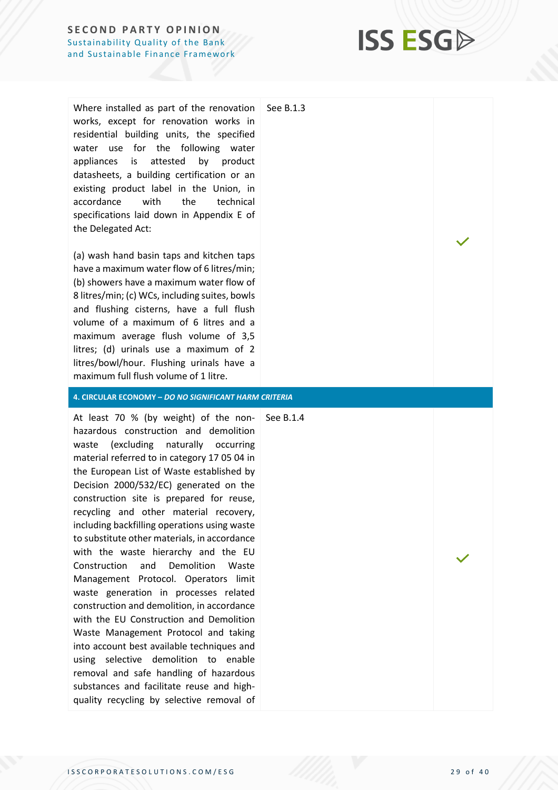Where installed as part of the renovation works, except for renovation works in residential building units, the specified water use for the following water appliances is attested by product datasheets, a building certification or an existing product label in the Union, in accordance with the technical specifications laid down in Appendix E of the Delegated Act:

(a) wash hand basin taps and kitchen taps have a maximum water flow of 6 litres/min; (b) showers have a maximum water flow of 8 litres/min; (c) WCs, including suites, bowls and flushing cisterns, have a full flush volume of a maximum of 6 litres and a maximum average flush volume of 3,5 litres; (d) urinals use a maximum of 2 litres/bowl/hour. Flushing urinals have a maximum full flush volume of 1 litre.

**4. CIRCULAR ECONOMY –** *DO NO SIGNIFICANT HARM CRITERIA*

At least 70 % (by weight) of the non-See B.1.4hazardous construction and demolition waste (excluding naturally occurring material referred to in category 17 05 04 in the European List of Waste established by Decision 2000/532/EC) generated on the construction site is prepared for reuse, recycling and other material recovery, including backfilling operations using waste to substitute other materials, in accordance with the waste hierarchy and the EU Construction and Demolition Waste Management Protocol. Operators limit waste generation in processes related construction and demolition, in accordance with the EU Construction and Demolition Waste Management Protocol and taking into account best available techniques and using selective demolition to enable removal and safe handling of hazardous substances and facilitate reuse and highquality recycling by selective removal of

See B.1.3

**ISS ESG**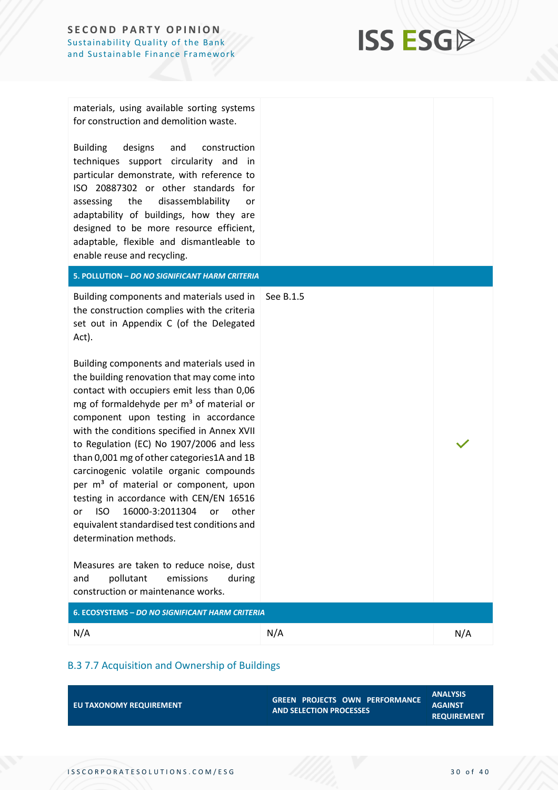![](_page_29_Picture_1.jpeg)

materials, using available sorting systems for construction and demolition waste.

Building designs and construction techniques support circularity and in particular demonstrate, with reference to ISO 20887302 or other standards for assessing the disassemblability or adaptability of buildings, how they are designed to be more resource efficient, adaptable, flexible and dismantleable to enable reuse and recycling.

**5. POLLUTION –** *DO NO SIGNIFICANT HARM CRITERIA*

Building components and materials used in See B.1.5 the construction complies with the criteria set out in Appendix C (of the Delegated Act).

Building components and materials used in the building renovation that may come into contact with occupiers emit less than 0,06 mg of formaldehyde per  $m<sup>3</sup>$  of material or component upon testing in accordance with the conditions specified in Annex XVII to Regulation (EC) No 1907/2006 and less than 0,001 mg of other categories1A and 1B carcinogenic volatile organic compounds per  $m<sup>3</sup>$  of material or component, upon testing in accordance with CEN/EN 16516 or ISO 16000-3:2011304 or other equivalent standardised test conditions and determination methods.

Measures are taken to reduce noise, dust and pollutant emissions during construction or maintenance works.

| 6. ECOSYSTEMS – DO NO SIGNIFICANT HARM CRITERIA |     |     |
|-------------------------------------------------|-----|-----|
| N/A                                             | N/A | N/A |

### B.3 7.7 Acquisition and Ownership of Buildings

| EU TAXONOMY REQUIREMENT | <b>GREEN PROJECTS OWN PERFORMANCE</b><br><b>AND SELECTION PROCESSES</b> | <b>ANALYSIS</b><br><b>AGAINST</b><br><b>REQUIREMENT</b> |
|-------------------------|-------------------------------------------------------------------------|---------------------------------------------------------|
|                         |                                                                         |                                                         |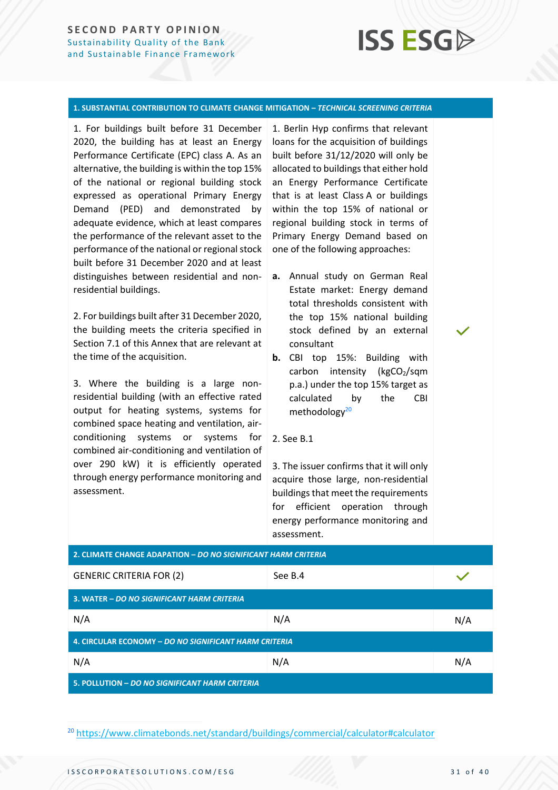# **ISS ESG**

#### **1. SUBSTANTIAL CONTRIBUTION TO CLIMATE CHANGE MITIGATION –** *TECHNICAL SCREENING CRITERIA*

1. For buildings built before 31 December 2020, the building has at least an Energy Performance Certificate (EPC) class A. As an alternative, the building is within the top 15% of the national or regional building stock expressed as operational Primary Energy Demand (PED) and demonstrated by adequate evidence, which at least compares the performance of the relevant asset to the performance of the national or regional stock built before 31 December 2020 and at least distinguishes between residential and nonresidential buildings.

2. For buildings built after 31 December 2020, the building meets the criteria specified in Section 7.1 of this Annex that are relevant at the time of the acquisition.

3. Where the building is a large nonresidential building (with an effective rated output for heating systems, systems for combined space heating and ventilation, airconditioning systems or systems for combined air-conditioning and ventilation of over 290 kW) it is efficiently operated through energy performance monitoring and assessment.

1. Berlin Hyp confirms that relevant loans for the acquisition of buildings built before 31/12/2020 will only be allocated to buildings that either hold an Energy Performance Certificate that is at least Class A or buildings within the top 15% of national or regional building stock in terms of Primary Energy Demand based on one of the following approaches:

- **a.** Annual study on German Real Estate market: Energy demand total thresholds consistent with the top 15% national building stock defined by an external consultant
- **b.** CBI top 15%: Building with carbon intensity ( $kgCO<sub>2</sub>/sqm$ p.a.) under the top 15% target as calculated by the CBI methodology<sup>20</sup>
- 2. See B.1

3. The issuer confirms that it will only acquire those large, non-residential buildings that meet the requirements for efficient operation through energy performance monitoring and assessment.

| 2. CLIMATE CHANGE ADAPATION – DO NO SIGNIFICANT HARM CRITERIA |         |     |
|---------------------------------------------------------------|---------|-----|
| <b>GENERIC CRITERIA FOR (2)</b>                               | See B.4 |     |
| 3. WATER - DO NO SIGNIFICANT HARM CRITERIA                    |         |     |
| N/A                                                           | N/A     | N/A |
| 4. CIRCULAR ECONOMY - DO NO SIGNIFICANT HARM CRITERIA         |         |     |
| N/A                                                           | N/A     | N/A |
| 5. POLLUTION - DO NO SIGNIFICANT HARM CRITERIA                |         |     |

<sup>20</sup> <https://www.climatebonds.net/standard/buildings/commercial/calculator#calculator>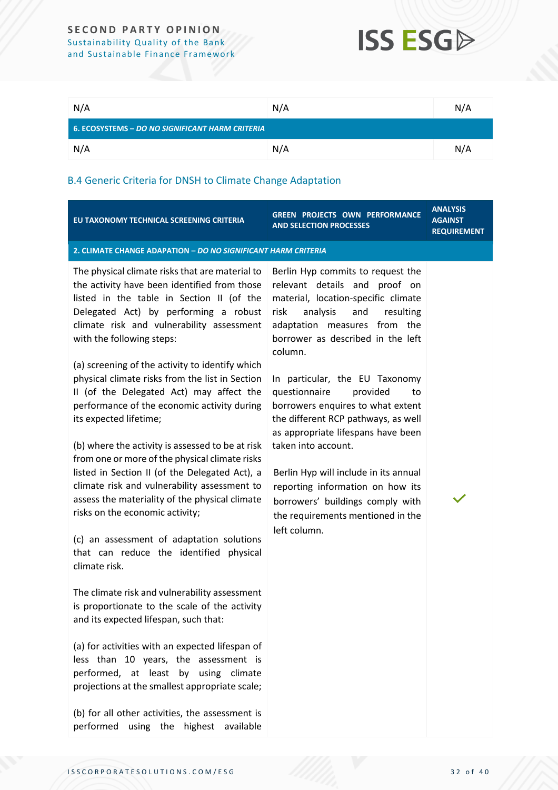## **ISS ESG**

| N/A                                             | N/A | N/A |
|-------------------------------------------------|-----|-----|
| 6. ECOSYSTEMS - DO NO SIGNIFICANT HARM CRITERIA |     |     |
| N/A                                             | N/A | N/A |

### B.4 Generic Criteria for DNSH to Climate Change Adaptation

| EU TAXONOMY TECHNICAL SCREENING CRITERIA                                                                                                                                                                                                                                                                                                                                                                                                                                                                                                                                                                                                                                                                                                                                                                                                                                                                                                                                                                                                                                                                                                                                                                                                                                                                                      | GREEN PROJECTS OWN PERFORMANCE<br><b>AND SELECTION PROCESSES</b>                                                                                                                                                                                                                                                                                                                                                                                                                                                                                                                                                      | <b>ANALYSIS</b><br><b>AGAINST</b><br><b>REQUIREMENT</b> |
|-------------------------------------------------------------------------------------------------------------------------------------------------------------------------------------------------------------------------------------------------------------------------------------------------------------------------------------------------------------------------------------------------------------------------------------------------------------------------------------------------------------------------------------------------------------------------------------------------------------------------------------------------------------------------------------------------------------------------------------------------------------------------------------------------------------------------------------------------------------------------------------------------------------------------------------------------------------------------------------------------------------------------------------------------------------------------------------------------------------------------------------------------------------------------------------------------------------------------------------------------------------------------------------------------------------------------------|-----------------------------------------------------------------------------------------------------------------------------------------------------------------------------------------------------------------------------------------------------------------------------------------------------------------------------------------------------------------------------------------------------------------------------------------------------------------------------------------------------------------------------------------------------------------------------------------------------------------------|---------------------------------------------------------|
| 2. CLIMATE CHANGE ADAPATION - DO NO SIGNIFICANT HARM CRITERIA                                                                                                                                                                                                                                                                                                                                                                                                                                                                                                                                                                                                                                                                                                                                                                                                                                                                                                                                                                                                                                                                                                                                                                                                                                                                 |                                                                                                                                                                                                                                                                                                                                                                                                                                                                                                                                                                                                                       |                                                         |
| The physical climate risks that are material to<br>the activity have been identified from those<br>listed in the table in Section II (of the<br>Delegated Act) by performing a robust<br>climate risk and vulnerability assessment<br>with the following steps:<br>(a) screening of the activity to identify which<br>physical climate risks from the list in Section<br>II (of the Delegated Act) may affect the<br>performance of the economic activity during<br>its expected lifetime;<br>(b) where the activity is assessed to be at risk<br>from one or more of the physical climate risks<br>listed in Section II (of the Delegated Act), a<br>climate risk and vulnerability assessment to<br>assess the materiality of the physical climate<br>risks on the economic activity;<br>(c) an assessment of adaptation solutions<br>that can reduce the identified physical<br>climate risk.<br>The climate risk and vulnerability assessment<br>is proportionate to the scale of the activity<br>and its expected lifespan, such that:<br>(a) for activities with an expected lifespan of<br>less than 10 years, the assessment is<br>performed, at least by using climate<br>projections at the smallest appropriate scale;<br>(b) for all other activities, the assessment is<br>performed using the highest available | Berlin Hyp commits to request the<br>relevant details and proof on<br>material, location-specific climate<br>risk<br>analysis<br>and<br>resulting<br>adaptation measures from the<br>borrower as described in the left<br>column.<br>In particular, the EU Taxonomy<br>questionnaire<br>provided<br>to<br>borrowers enquires to what extent<br>the different RCP pathways, as well<br>as appropriate lifespans have been<br>taken into account.<br>Berlin Hyp will include in its annual<br>reporting information on how its<br>borrowers' buildings comply with<br>the requirements mentioned in the<br>left column. |                                                         |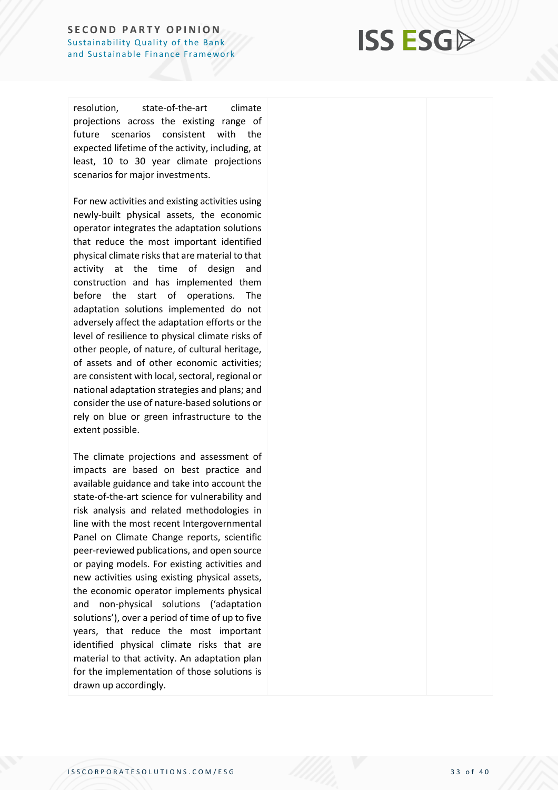## **ISS ESG**

resolution, -of -the climate projections across the existing range of future scenarios consistent with the expected lifetime of the activity, including, at least, 10 to 30 year climate projections scenarios for major investments.

For new activities and existing activities using newly -built physical assets, the economic operator integrates the adaptation solutions that reduce the most important identified physical climate risks that are material to that activity at the time of design and construction and has implemented them before the start of operations. The adaptation solutions implemented do not adversely affect the adaptation efforts or the level of resilience to physical climate risks of other people, of nature, of cultural heritage, of assets and of other economic activities; are consistent with local, sectoral, regional or national adaptation strategies and plans; and consider the use of nature -based solutions or rely on blue or green infrastructure to the extent possible.

The climate projections and assessment of impacts are based on best practice and available guidance and take into account the state -of -the -art science for vulnerability and risk analysis and related methodologies in line with the most recent Intergovernmental Panel on Climate Change reports, scientific peer -reviewed publications, and open source or paying models. For existing activities and new activities using existing physical assets, the economic operator implements physical and non -physical solutions ('adaptation solutions'), over a period of time of up to five years, that reduce the most important identified physical climate risks that are material to that activity. An adaptation plan for the implementation of those solutions is drawn up accordingly.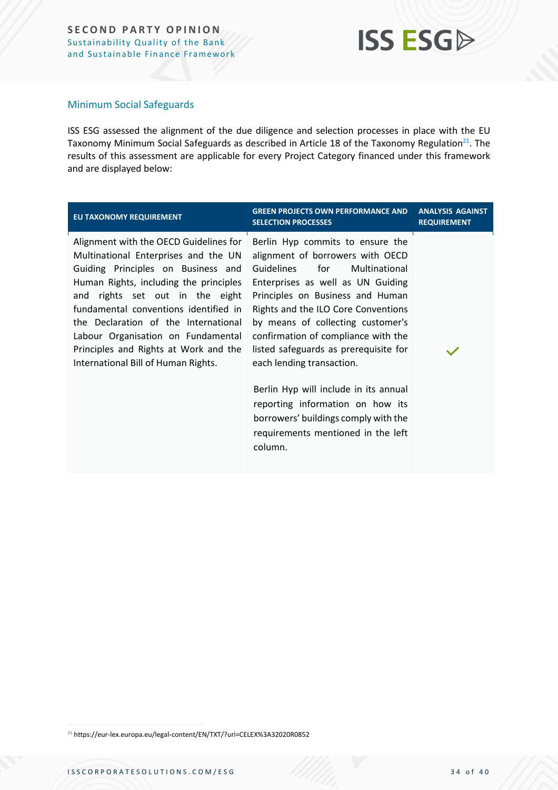### **ISS ESGA**

#### Minimum Social Safeguards

ISS ESG assessed the alignment of the due diligence and selection processes in place with the EU Taxonomy Minimum Social Safeguards as described in Article 18 of the Taxonomy Regulation<sup>21</sup>. The results of this assessment are applicable for every Project Category financed under this framework and are displayed below:

| EU TAXONOMY REQUIREMENT                                                                                                                                                                                                                                                                                                                                                                                  | <b>GREEN PROJECTS OWN PERFORMANCE AND</b><br><b>SELECTION PROCESSES</b>                                                                                                                                                                                                                                                                                                                                                                                                                                                                            | <b>ANALYSIS AGAINST</b><br><b>REQUIREMENT</b> |
|----------------------------------------------------------------------------------------------------------------------------------------------------------------------------------------------------------------------------------------------------------------------------------------------------------------------------------------------------------------------------------------------------------|----------------------------------------------------------------------------------------------------------------------------------------------------------------------------------------------------------------------------------------------------------------------------------------------------------------------------------------------------------------------------------------------------------------------------------------------------------------------------------------------------------------------------------------------------|-----------------------------------------------|
| Alignment with the OECD Guidelines for<br>Multinational Enterprises and the UN<br>Guiding Principles on Business and<br>Human Rights, including the principles<br>and rights set out in the eight<br>fundamental conventions identified in<br>the Declaration of the International<br>Labour Organisation on Fundamental<br>Principles and Rights at Work and the<br>International Bill of Human Rights. | Berlin Hyp commits to ensure the<br>alignment of borrowers with OECD<br>Guidelines<br>for<br>Multinational<br>Enterprises as well as UN Guiding<br>Principles on Business and Human<br>Rights and the ILO Core Conventions<br>by means of collecting customer's<br>confirmation of compliance with the<br>listed safeguards as prerequisite for<br>each lending transaction.<br>Berlin Hyp will include in its annual<br>reporting information on how its<br>borrowers' buildings comply with the<br>requirements mentioned in the left<br>column. |                                               |
|                                                                                                                                                                                                                                                                                                                                                                                                          |                                                                                                                                                                                                                                                                                                                                                                                                                                                                                                                                                    |                                               |

<sup>21</sup> https://eur-lex.europa.eu/legal-content/EN/TXT/?uri=CELEX%3A32020R0852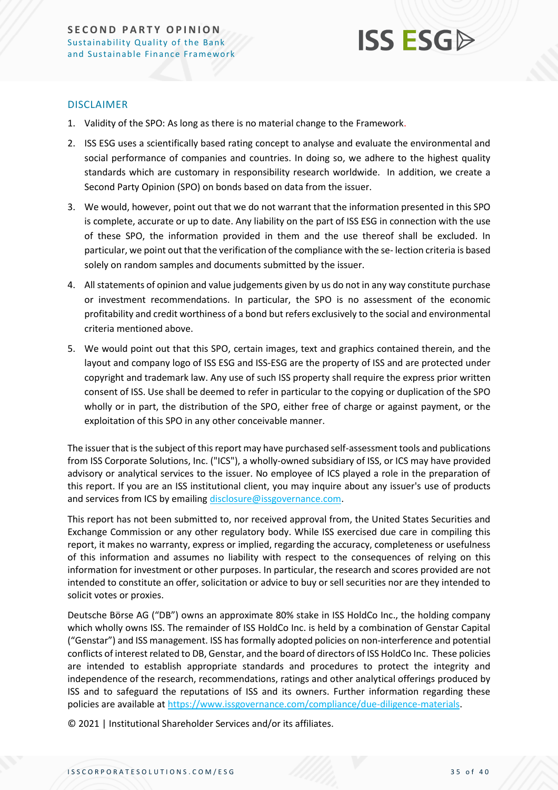![](_page_34_Picture_1.jpeg)

#### DISCLAIMER

- 1. Validity of the SPO: As long as there is no material change to the Framework.
- 2. ISS ESG uses a scientifically based rating concept to analyse and evaluate the environmental and social performance of companies and countries. In doing so, we adhere to the highest quality standards which are customary in responsibility research worldwide. In addition, we create a Second Party Opinion (SPO) on bonds based on data from the issuer.
- 3. We would, however, point out that we do not warrant that the information presented in this SPO is complete, accurate or up to date. Any liability on the part of ISS ESG in connection with the use of these SPO, the information provided in them and the use thereof shall be excluded. In particular, we point out that the verification of the compliance with the se- lection criteria is based solely on random samples and documents submitted by the issuer.
- 4. All statements of opinion and value judgements given by us do not in any way constitute purchase or investment recommendations. In particular, the SPO is no assessment of the economic profitability and credit worthiness of a bond but refers exclusively to the social and environmental criteria mentioned above.
- 5. We would point out that this SPO, certain images, text and graphics contained therein, and the layout and company logo of ISS ESG and ISS-ESG are the property of ISS and are protected under copyright and trademark law. Any use of such ISS property shall require the express prior written consent of ISS. Use shall be deemed to refer in particular to the copying or duplication of the SPO wholly or in part, the distribution of the SPO, either free of charge or against payment, or the exploitation of this SPO in any other conceivable manner.

The issuer that is the subject of this report may have purchased self-assessment tools and publications from ISS Corporate Solutions, Inc. ("ICS"), a wholly-owned subsidiary of ISS, or ICS may have provided advisory or analytical services to the issuer. No employee of ICS played a role in the preparation of this report. If you are an ISS institutional client, you may inquire about any issuer's use of products and services from ICS by emailin[g disclosure@issgovernance.com.](mailto:disclosure@issgovernance.com)

This report has not been submitted to, nor received approval from, the United States Securities and Exchange Commission or any other regulatory body. While ISS exercised due care in compiling this report, it makes no warranty, express or implied, regarding the accuracy, completeness or usefulness of this information and assumes no liability with respect to the consequences of relying on this information for investment or other purposes. In particular, the research and scores provided are not intended to constitute an offer, solicitation or advice to buy or sell securities nor are they intended to solicit votes or proxies.

Deutsche Börse AG ("DB") owns an approximate 80% stake in ISS HoldCo Inc., the holding company which wholly owns ISS. The remainder of ISS HoldCo Inc. is held by a combination of Genstar Capital ("Genstar") and ISS management. ISS has formally adopted policies on non-interference and potential conflicts of interest related to DB, Genstar, and the board of directors of ISS HoldCo Inc. These policies are intended to establish appropriate standards and procedures to protect the integrity and independence of the research, recommendations, ratings and other analytical offerings produced by ISS and to safeguard the reputations of ISS and its owners. Further information regarding these policies are available a[t https://www.issgovernance.com/compliance/due-diligence-materials.](https://www.issgovernance.com/compliance/due-diligence-materials)

© 2021 | Institutional Shareholder Services and/or its affiliates.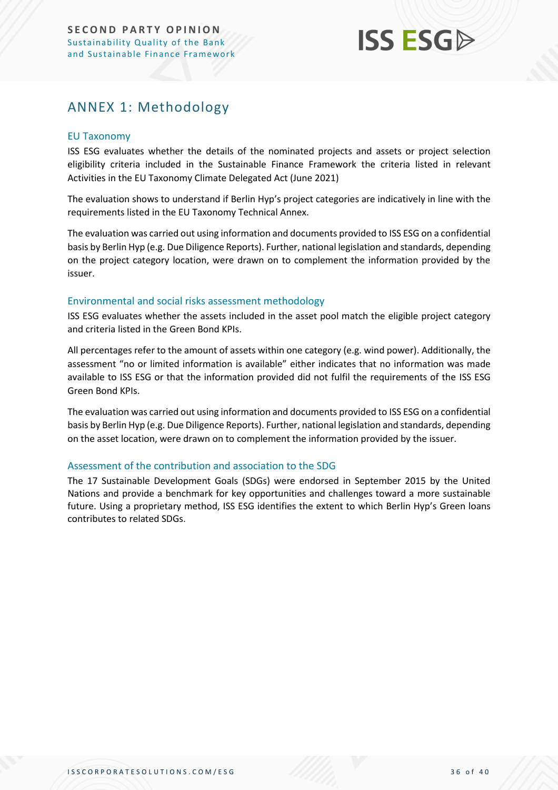## **ISS ESG**

### <span id="page-35-0"></span>ANNEX 1: Methodology

#### EU Taxonomy

ISS ESG evaluates whether the details of the nominated projects and assets or project selection eligibility criteria included in the Sustainable Finance Framework the criteria listed in relevant Activities in the EU Taxonomy Climate Delegated Act (June 2021)

The evaluation shows to understand if Berlin Hyp's project categories are indicatively in line with the requirements listed in the EU Taxonomy Technical Annex.

The evaluation was carried out using information and documents provided to ISS ESG on a confidential basis by Berlin Hyp (e.g. Due Diligence Reports). Further, national legislation and standards, depending on the project category location, were drawn on to complement the information provided by the issuer.

#### Environmental and social risks assessment methodology

ISS ESG evaluates whether the assets included in the asset pool match the eligible project category and criteria listed in the Green Bond KPIs.

All percentages refer to the amount of assets within one category (e.g. wind power). Additionally, the assessment "no or limited information is available" either indicates that no information was made available to ISS ESG or that the information provided did not fulfil the requirements of the ISS ESG Green Bond KPIs.

The evaluation was carried out using information and documents provided to ISS ESG on a confidential basis by Berlin Hyp (e.g. Due Diligence Reports). Further, national legislation and standards, depending on the asset location, were drawn on to complement the information provided by the issuer.

#### Assessment of the contribution and association to the SDG

The 17 Sustainable Development Goals (SDGs) were endorsed in September 2015 by the United Nations and provide a benchmark for key opportunities and challenges toward a more sustainable future. Using a proprietary method, ISS ESG identifies the extent to which Berlin Hyp's Green loans contributes to related SDGs.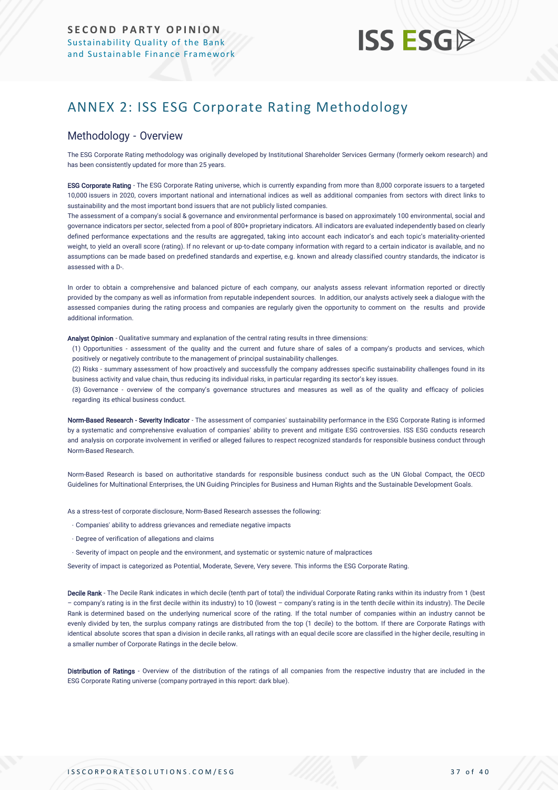# **ISS ESG**

### <span id="page-36-0"></span>ANNEX 2: ISS ESG Corporate Rating Methodology

#### Methodology - Overview

The ESG Corporate Rating methodology was originally developed by Institutional Shareholder Services Germany (formerly oekom research) and has been consistently updated for more than 25 years.

ESG Corporate Rating - The ESG Corporate Rating universe, which is currently expanding from more than 8,000 corporate issuers to a targeted 10,000 issuers in 2020, covers important national and international indices as well as additional companies from sectors with direct links to sustainability and the most important bond issuers that are not publicly listed companies.

The assessment of a company's social & governance and environmental performance is based on approximately 100 environmental, social and governance indicators per sector, selected from a pool of 800+ proprietary indicators. All indicators are evaluated independently based on clearly defined performance expectations and the results are aggregated, taking into account each indicator's and each topic's materiality-oriented weight, to yield an overall score (rating). If no relevant or up-to-date company information with regard to a certain indicator is available, and no assumptions can be made based on predefined standards and expertise, e.g. known and already classified country standards, the indicator is assessed with a D-.

In order to obtain a comprehensive and balanced picture of each company, our analysts assess relevant information reported or directly provided by the company as well as information from reputable independent sources. In addition, our analysts actively seek a dialogue with the assessed companies during the rating process and companies are regularly given the opportunity to comment on the results and provide additional information.

Analyst Opinion - Qualitative summary and explanation of the central rating results in three dimensions:

(1) Opportunities - assessment of the quality and the current and future share of sales of a company's products and services, which positively or negatively contribute to the management of principal sustainability challenges.

(2) Risks - summary assessment of how proactively and successfully the company addresses specific sustainability challenges found in its business activity and value chain, thus reducing its individual risks, in particular regarding its sector's key issues.

(3) Governance - overview of the company's governance structures and measures as well as of the quality and efficacy of policies regarding its ethical business conduct.

Norm-Based Research - Severity Indicator - The assessment of companies' sustainability performance in the ESG Corporate Rating is informed by a systematic and comprehensive evaluation of companies' ability to prevent and mitigate ESG controversies. ISS ESG conducts research and analysis on corporate [involvement in verified or alleged failures to respect recognized standard](https://www.issgovernance.com/esg/screening/esg-screening-solutions/#nbr_techdoc_download)s for responsible business conduct through [Norm-Based](https://www.issgovernance.com/esg/screening/esg-screening-solutions/#nbr_techdoc_download) Research.

Norm-Based Research is based on authoritative standards for responsible business conduct such as the UN Global Compact, the OECD Guidelines for Multinational Enterprises, the UN Guiding Principles for Business and Human Rights and the Sustainable Development Goals.

As a stress-test of corporate disclosure, Norm-Based Research assesses the following:

- Companies' ability to address grievances and remediate negative impacts
- Degree of verification of allegations and claims
- Severity of impact on people and the environment, and systematic or systemic nature of malpractices

Severity of impact is categorized as Potential, Moderate, Severe, Very severe. This informs the ESG Corporate Rating.

Decile Rank - The Decile Rank indicates in which decile (tenth part of total) the individual Corporate Rating ranks within its industry from 1 (best – company's rating is in the first decile within its industry) to 10 (lowest – company's rating is in the tenth decile within its industry). The Decile Rank is determined based on the underlying numerical score of the rating. If the total number of companies within an industry cannot be evenly divided by ten, the surplus company ratings are distributed from the top (1 decile) to the bottom. If there are Corporate Ratings with identical absolute scores that span a division in decile ranks, all ratings with an equal decile score are classified in the higher decile, resulting in a smaller number of Corporate Ratings in the decile below.

Distribution of Ratings - Overview of the distribution of the ratings of all companies from the respective industry that are included in the ESG Corporate Rating universe (company portrayed in this report: dark blue).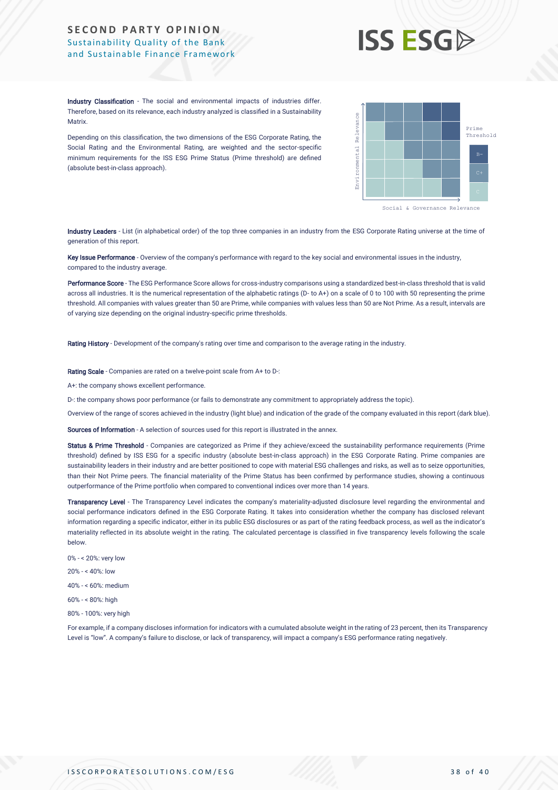# **ISS ESG**

Industry Classification - The social and environmental impacts of industries differ. Therefore, based on its relevance, each industry analyzed is classified in a Sustainability **Matrix** 

Depending on this classification, the two dimensions of the ESG Corporate Rating, the Social Rating and the Environmental Rating, are weighted and the sector-specific minimum requirements for the ISS ESG Prime Status (Prime threshold) are defined (absolute best-in-class approach).

![](_page_37_Figure_4.jpeg)

Industry Leaders - List (in alphabetical order) of the top three companies in an industry from the ESG Corporate Rating universe at the time of generation of this report.

Key Issue Performance - Overview of the company's performance with regard to the key social and environmental issues in the industry, compared to the industry average.

Performance Score - The ESG Performance Score allows for cross-industry comparisons using a standardized best-in-class threshold that is valid across all industries. It is the numerical representation of the alphabetic ratings (D- to A+) on a scale of 0 to 100 with 50 representing the prime threshold. All companies with values greater than 50 are Prime, while companies with values less than 50 are Not Prime. As a result, intervals are of varying size depending on the original industry-specific prime thresholds.

Rating History - Development of the company's rating over time and comparison to the average rating in the industry.

Rating Scale - Companies are rated on a twelve-point scale from A+ to D-:

A+: the company shows excellent performance.

D-: the company shows poor performance (or fails to demonstrate any commitment to appropriately address the topic).

Overview of the range of scores achieved in the industry (light blue) and indication of the grade of the company evaluated in this report (dark blue).

Sources of Information - A selection of sources used for this report is illustrated in the annex.

Status & Prime Threshold - Companies are categorized as Prime if they achieve/exceed the sustainability performance requirements (Prime threshold) defined by ISS ESG for a specific industry (absolute best-in-class approach) in the ESG Corporate Rating. Prime companies are sustainability leaders in their industry and are better positioned to cope with material ESG challenges and risks, as well as to seize opportunities, than their Not Prime peers. The financial materiality of the Prime Status has been confirmed by performance studies, showing a continuous outperformance of the Prime portfolio when compared to conventional indices over more than 14 years. Africa, the member of transparency is an activities of the USE Corporation (in the according to the member of transparency in the member of the member of the member of the member of the member of the member of the member o

Transparency Level - The Transparency Level indicates the company's materiality-adjusted disclosure level regarding the environmental and social performance indicators defined in the ESG Corporate Rating. It takes into consideration whether the company has disclosed relevant information regarding a specific indicator, either in its public ESG disclosures or as part of the rating feedback process, as well as the indicator's materiality reflected in its absolute weight in the rating. The calculated percentage is classified in five transparency levels following the scale below.

- 0% < 20%: very low
- 20% < 40%: low

40% - < 60%: medium

- 60% < 80%: high
- 80% 100%: very high

For example, if a company discloses information for indicators with a cumulated absolute weight in the rating of 23 percent, then its Transparency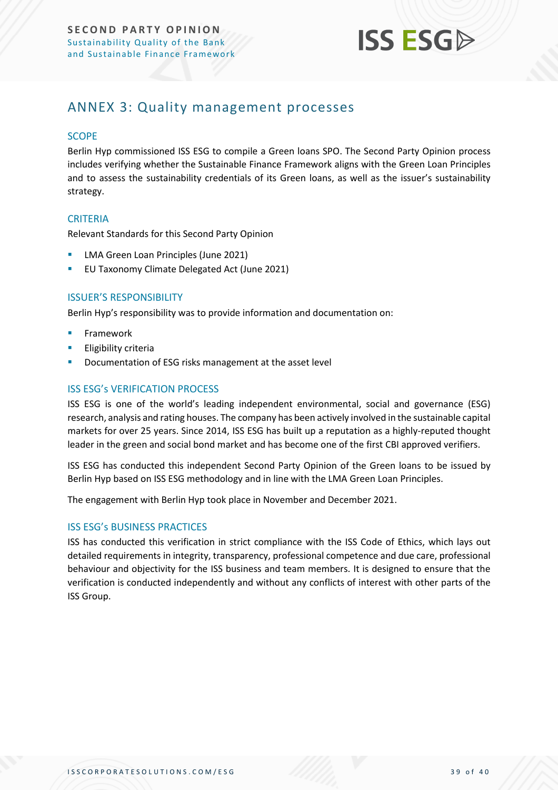![](_page_38_Picture_1.jpeg)

### <span id="page-38-0"></span>ANNEX 3: Quality management processes

#### **SCOPE**

Berlin Hyp commissioned ISS ESG to compile a Green loans SPO. The Second Party Opinion process includes verifying whether the Sustainable Finance Framework aligns with the Green Loan Principles and to assess the sustainability credentials of its Green loans, as well as the issuer's sustainability strategy.

#### **CRITERIA**

Relevant Standards for this Second Party Opinion

- LMA Green Loan Principles (June 2021)
- EU Taxonomy Climate Delegated Act (June 2021)

#### ISSUER'S RESPONSIBILITY

Berlin Hyp's responsibility was to provide information and documentation on:

- **Framework**
- **Eligibility criteria**
- Documentation of ESG risks management at the asset level

#### ISS ESG's VERIFICATION PROCESS

ISS ESG is one of the world's leading independent environmental, social and governance (ESG) research, analysis and rating houses. The company has been actively involved in the sustainable capital markets for over 25 years. Since 2014, ISS ESG has built up a reputation as a highly-reputed thought leader in the green and social bond market and has become one of the first CBI approved verifiers.

ISS ESG has conducted this independent Second Party Opinion of the Green loans to be issued by Berlin Hyp based on ISS ESG methodology and in line with the LMA Green Loan Principles.

The engagement with Berlin Hyp took place in November and December 2021.

#### ISS ESG's BUSINESS PRACTICES

ISS has conducted this verification in strict compliance with the ISS Code of Ethics, which lays out detailed requirements in integrity, transparency, professional competence and due care, professional behaviour and objectivity for the ISS business and team members. It is designed to ensure that the verification is conducted independently and without any conflicts of interest with other parts of the ISS Group.